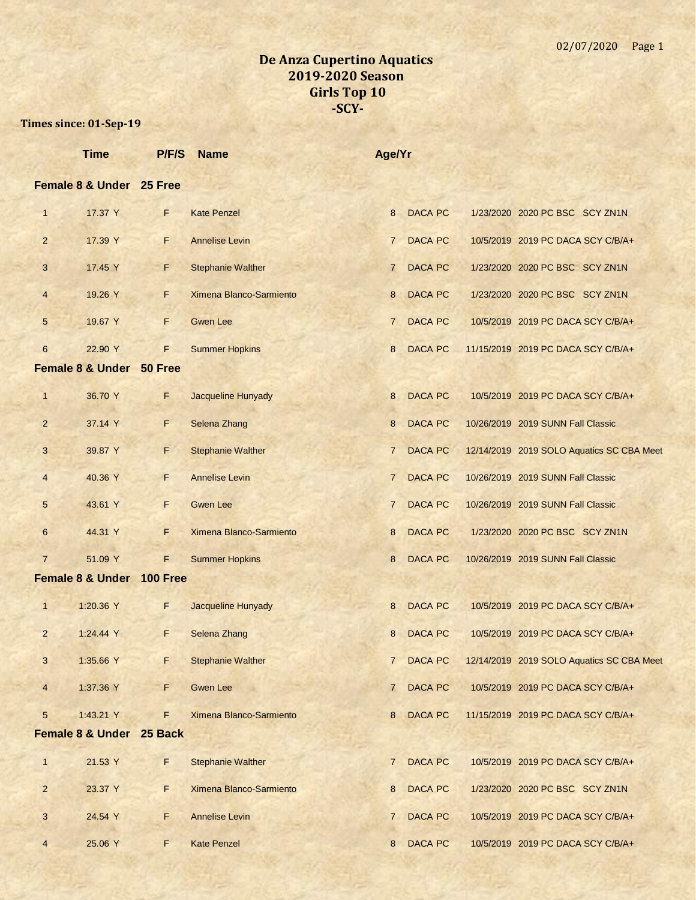|                | <b>Time</b>                         | P/F/S           | <b>Name</b>              | Age/Yr         |                |                                           |  |
|----------------|-------------------------------------|-----------------|--------------------------|----------------|----------------|-------------------------------------------|--|
|                | Female 8 & Under 25 Free            |                 |                          |                |                |                                           |  |
| $\mathbf{1}$   | 17.37 Y                             | F               | <b>Kate Penzel</b>       | 8              | <b>DACA PC</b> | 1/23/2020 2020 PC BSC SCY ZN1N            |  |
| $\overline{2}$ | 17.39 Y                             | F               | <b>Annelise Levin</b>    | $\mathbf{7}$   | <b>DACA PC</b> | 10/5/2019 2019 PC DACA SCY C/B/A+         |  |
| 3              | 17.45 Y                             | F.              | <b>Stephanie Walther</b> | $\mathbf{7}$   | <b>DACA PC</b> | 1/23/2020 2020 PC BSC SCY ZN1N            |  |
| $\overline{4}$ | 19.26 Y                             | F               | Ximena Blanco-Sarmiento  | 8              | <b>DACA PC</b> | 1/23/2020 2020 PC BSC SCY ZN1N            |  |
| 5              | 19.67 Y                             | F               | <b>Gwen Lee</b>          | $\overline{7}$ | <b>DACA PC</b> | 10/5/2019 2019 PC DACA SCY C/B/A+         |  |
| $6\phantom{.}$ | 22.90 Y                             | F               | <b>Summer Hopkins</b>    | 8              | <b>DACA PC</b> | 11/15/2019 2019 PC DACA SCY C/B/A+        |  |
|                | <b>Female 8 &amp; Under 50 Free</b> |                 |                          |                |                |                                           |  |
| $\mathbf{1}$   | 36.70 Y                             | F               | Jacqueline Hunyady       | 8              | <b>DACA PC</b> | 10/5/2019 2019 PC DACA SCY C/B/A+         |  |
| $\overline{2}$ | 37.14 Y                             | F               | Selena Zhang             | 8              | <b>DACA PC</b> | 10/26/2019 2019 SUNN Fall Classic         |  |
| 3              | 39.87 Y                             | F               | <b>Stephanie Walther</b> | $\overline{7}$ | <b>DACA PC</b> | 12/14/2019 2019 SOLO Aquatics SC CBA Meet |  |
| $\overline{4}$ | 40.36 Y                             | F               | <b>Annelise Levin</b>    | $7^{\circ}$    | <b>DACA PC</b> | 10/26/2019 2019 SUNN Fall Classic         |  |
| 5              | 43.61 Y                             | F               | <b>Gwen Lee</b>          | $\overline{7}$ | <b>DACA PC</b> | 10/26/2019 2019 SUNN Fall Classic         |  |
| 6              | 44.31 Y                             | F               | Ximena Blanco-Sarmiento  | 8              | <b>DACA PC</b> | 1/23/2020 2020 PC BSC SCY ZN1N            |  |
| $\overline{7}$ | 51.09 Y                             | F               | <b>Summer Hopkins</b>    | 8              | <b>DACA PC</b> | 10/26/2019 2019 SUNN Fall Classic         |  |
|                | <b>Female 8 &amp; Under</b>         | <b>100 Free</b> |                          |                |                |                                           |  |
| $\mathbf{1}$   | 1:20.36 Y                           | F               | Jacqueline Hunyady       | 8              | <b>DACA PC</b> | 10/5/2019 2019 PC DACA SCY C/B/A+         |  |
| $\overline{2}$ | 1:24.44 Y                           | F               | Selena Zhang             | 8              | <b>DACA PC</b> | 10/5/2019 2019 PC DACA SCY C/B/A+         |  |
| 3              | 1:35.66 Y                           | F               | <b>Stephanie Walther</b> | $7\phantom{0}$ | <b>DACA PC</b> | 12/14/2019 2019 SOLO Aquatics SC CBA Meet |  |
| $\overline{4}$ | 1:37.36 Y                           | F.              | <b>Gwen Lee</b>          | $\overline{7}$ | <b>DACA PC</b> | 10/5/2019 2019 PC DACA SCY C/B/A+         |  |
| 5              | 1:43.21 Y                           | F               | Ximena Blanco-Sarmiento  | 8              | <b>DACA PC</b> | 11/15/2019 2019 PC DACA SCY C/B/A+        |  |
|                | Female 8 & Under 25 Back            |                 |                          |                |                |                                           |  |
| $\mathbf{1}$   | 21.53 Y                             | F.              | <b>Stephanie Walther</b> | $\overline{7}$ | <b>DACA PC</b> | 10/5/2019 2019 PC DACA SCY C/B/A+         |  |
| $\overline{2}$ | 23.37 Y                             | F               | Ximena Blanco-Sarmiento  | 8              | <b>DACA PC</b> | 1/23/2020 2020 PC BSC SCY ZN1N            |  |
| 3              | 24.54 Y                             | F               | <b>Annelise Levin</b>    | 7              | <b>DACA PC</b> | 10/5/2019 2019 PC DACA SCY C/B/A+         |  |
| $\overline{4}$ | 25.06 Y                             | F               | <b>Kate Penzel</b>       | 8              | <b>DACA PC</b> | 10/5/2019 2019 PC DACA SCY C/B/A+         |  |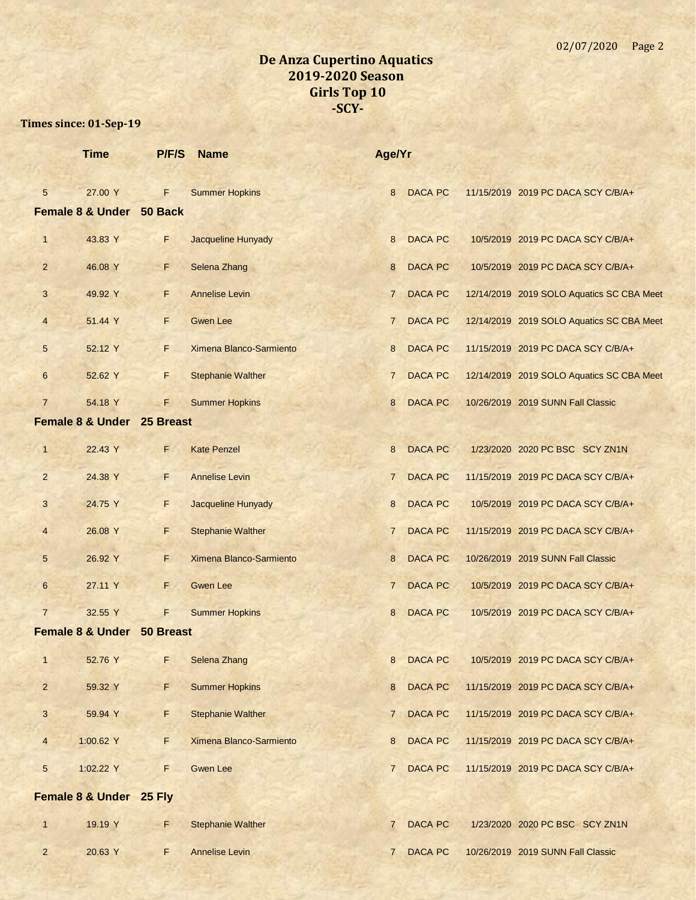|                 | <b>Time</b>                         | P/F/S     | <b>Name</b>               | Age/Yr         |                |                                           |
|-----------------|-------------------------------------|-----------|---------------------------|----------------|----------------|-------------------------------------------|
| $5\overline{)}$ | 27.00 Y<br>Female 8 & Under 50 Back | F.        | <b>Summer Hopkins</b>     | 8              | <b>DACA PC</b> | 11/15/2019 2019 PC DACA SCY C/B/A+        |
| $\mathbf{1}$    | 43.83 Y                             | F.        | <b>Jacqueline Hunyady</b> | 8              | <b>DACA PC</b> | 10/5/2019 2019 PC DACA SCY C/B/A+         |
| $\overline{2}$  | 46.08 Y                             | F.        | Selena Zhang              | 8              | <b>DACA PC</b> | 10/5/2019 2019 PC DACA SCY C/B/A+         |
| 3               | 49.92 Y                             | F         | <b>Annelise Levin</b>     | $\overline{7}$ | <b>DACA PC</b> | 12/14/2019 2019 SOLO Aquatics SC CBA Meet |
| $\overline{4}$  | 51.44 Y                             | F.        | <b>Gwen Lee</b>           | $\overline{7}$ | <b>DACA PC</b> | 12/14/2019 2019 SOLO Aquatics SC CBA Meet |
| 5               | 52.12 Y                             | F.        | Ximena Blanco-Sarmiento   | 8              | <b>DACA PC</b> | 11/15/2019 2019 PC DACA SCY C/B/A+        |
| 6               | 52.62 Y                             | F.        | <b>Stephanie Walther</b>  | $\overline{7}$ | <b>DACA PC</b> | 12/14/2019 2019 SOLO Aquatics SC CBA Meet |
| $\overline{7}$  | 54.18 Y                             | F         | <b>Summer Hopkins</b>     | 8              | <b>DACA PC</b> | 10/26/2019 2019 SUNN Fall Classic         |
|                 | Female 8 & Under 25 Breast          |           |                           |                |                |                                           |
| $\mathbf{1}$    | 22.43 Y                             | F.        | <b>Kate Penzel</b>        | 8              | <b>DACA PC</b> | 1/23/2020 2020 PC BSC SCY ZN1N            |
| $\overline{2}$  | 24.38 Y                             | F.        | <b>Annelise Levin</b>     | $\overline{7}$ | <b>DACA PC</b> | 11/15/2019 2019 PC DACA SCY C/B/A+        |
| 3               | 24.75 Y                             | F.        | Jacqueline Hunyady        | 8              | <b>DACA PC</b> | 10/5/2019 2019 PC DACA SCY C/B/A+         |
| 4               | 26.08 Y                             | F         | <b>Stephanie Walther</b>  | $\overline{7}$ | <b>DACA PC</b> | 11/15/2019 2019 PC DACA SCY C/B/A+        |
| 5               | 26.92 Y                             | F.        | Ximena Blanco-Sarmiento   | 8              | <b>DACA PC</b> | 10/26/2019 2019 SUNN Fall Classic         |
| 6               | 27.11 Y                             | F.        | <b>Gwen Lee</b>           | $\overline{7}$ | <b>DACA PC</b> | 10/5/2019 2019 PC DACA SCY C/B/A+         |
| $\overline{7}$  | 32.55 Y                             | F.        | <b>Summer Hopkins</b>     | 8              | <b>DACA PC</b> | 10/5/2019 2019 PC DACA SCY C/B/A+         |
|                 | <b>Female 8 &amp; Under</b>         | 50 Breast |                           |                |                |                                           |
| $\mathbf{1}$    | 52.76 Y                             | F         | Selena Zhang              | 8              | <b>DACA PC</b> | 10/5/2019 2019 PC DACA SCY C/B/A+         |
| $\overline{2}$  | 59.32 Y                             | F         | <b>Summer Hopkins</b>     | 8              | <b>DACA PC</b> | 11/15/2019 2019 PC DACA SCY C/B/A+        |
| $\mathbf{3}$    | 59.94 Y                             | F         | <b>Stephanie Walther</b>  | $\overline{7}$ | <b>DACA PC</b> | 11/15/2019 2019 PC DACA SCY C/B/A+        |
| $\overline{4}$  | 1:00.62 Y                           | F         | Ximena Blanco-Sarmiento   | 8              | <b>DACA PC</b> | 11/15/2019 2019 PC DACA SCY C/B/A+        |
| 5               | 1:02.22 Y                           | F.        | <b>Gwen Lee</b>           | $\overline{7}$ | <b>DACA PC</b> | 11/15/2019 2019 PC DACA SCY C/B/A+        |
|                 | Female 8 & Under 25 Fly             |           |                           |                |                |                                           |
| 1               | 19.19 Y                             | F         | <b>Stephanie Walther</b>  | $\overline{7}$ | <b>DACA PC</b> | 1/23/2020 2020 PC BSC SCY ZN1N            |
| $\overline{2}$  | 20.63 Y                             | F.        | <b>Annelise Levin</b>     | $\overline{7}$ | <b>DACA PC</b> | 10/26/2019 2019 SUNN Fall Classic         |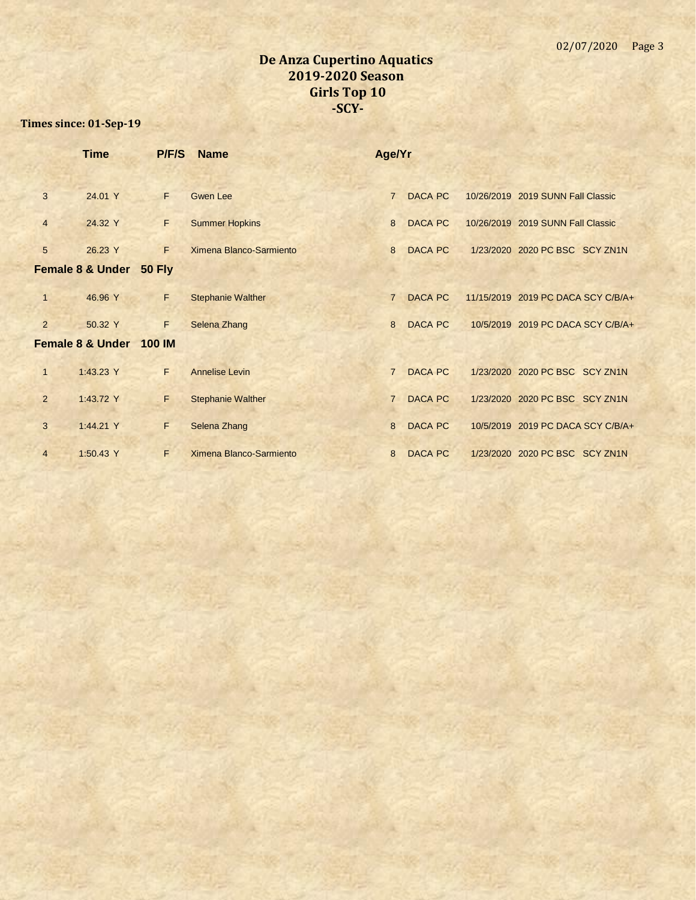|                | <b>Time</b>                 | P/F/S         | <b>Name</b>              | Age/Yr         |                |                                    |  |
|----------------|-----------------------------|---------------|--------------------------|----------------|----------------|------------------------------------|--|
|                |                             |               |                          |                |                |                                    |  |
| 3              | 24.01 Y                     | F             | <b>Gwen Lee</b>          | $\overline{7}$ | DACA PC        | 10/26/2019 2019 SUNN Fall Classic  |  |
| $\overline{4}$ | 24.32 Y                     | F             | <b>Summer Hopkins</b>    | 8              | <b>DACA PC</b> | 10/26/2019 2019 SUNN Fall Classic  |  |
| 5              | 26.23 Y                     | F             | Ximena Blanco-Sarmiento  | 8              | <b>DACA PC</b> | 1/23/2020 2020 PC BSC SCY ZN1N     |  |
|                | <b>Female 8 &amp; Under</b> | <b>50 Fly</b> |                          |                |                |                                    |  |
| $\mathbf{1}$   | 46.96 Y                     | F             | <b>Stephanie Walther</b> | $\overline{7}$ | DACA PC        | 11/15/2019 2019 PC DACA SCY C/B/A+ |  |
| $\overline{2}$ | 50.32 Y                     | F             | Selena Zhang             | 8              | <b>DACA PC</b> | 10/5/2019 2019 PC DACA SCY C/B/A+  |  |
|                | <b>Female 8 &amp; Under</b> | <b>100 IM</b> |                          |                |                |                                    |  |
| $\mathbf{1}$   | 1:43.23 Y                   | F.            | <b>Annelise Levin</b>    | $\overline{7}$ | <b>DACA PC</b> | 1/23/2020 2020 PC BSC SCY ZN1N     |  |
| $\overline{2}$ | 1:43.72 Y                   | F.            | <b>Stephanie Walther</b> | $\overline{7}$ | <b>DACA PC</b> | 1/23/2020 2020 PC BSC SCY ZN1N     |  |
| 3              | 1:44.21 Y                   | F             | Selena Zhang             | 8              | <b>DACA PC</b> | 10/5/2019 2019 PC DACA SCY C/B/A+  |  |
| $\overline{4}$ | 1:50.43 Y                   | F             | Ximena Blanco-Sarmiento  | 8              | <b>DACA PC</b> | 1/23/2020 2020 PC BSC SCY ZN1N     |  |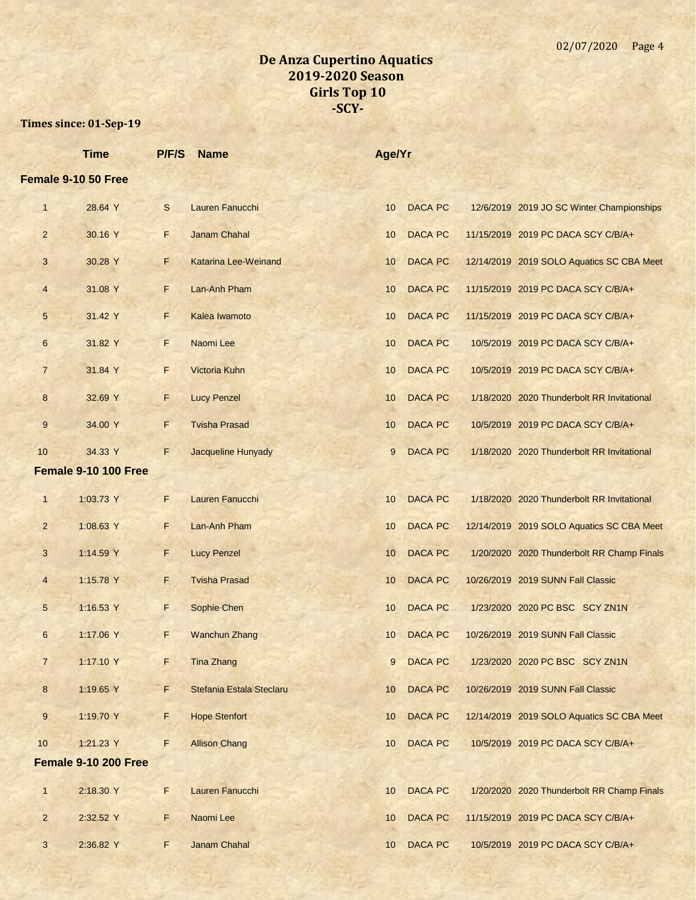|                  | <b>Time</b>          | P/F/S | <b>Name</b>                 | Age/Yr          |                |                                            |
|------------------|----------------------|-------|-----------------------------|-----------------|----------------|--------------------------------------------|
|                  | Female 9-10 50 Free  |       |                             |                 |                |                                            |
| $\mathbf{1}$     | 28.64 Y              | S     | Lauren Fanucchi             | 10 <sup>°</sup> | <b>DACA PC</b> | 12/6/2019 2019 JO SC Winter Championships  |
| $\overline{2}$   | 30.16 Y              | F.    | <b>Janam Chahal</b>         | 10              | <b>DACA PC</b> | 11/15/2019 2019 PC DACA SCY C/B/A+         |
| 3                | 30.28 Y              | F     | <b>Katarina Lee-Weinand</b> | 10              | <b>DACA PC</b> | 12/14/2019 2019 SOLO Aquatics SC CBA Meet  |
| 4                | 31.08 Y              | F.    | Lan-Anh Pham                | 10              | <b>DACA PC</b> | 11/15/2019 2019 PC DACA SCY C/B/A+         |
| 5                | 31.42 Y              | F     | Kalea Iwamoto               | 10              | <b>DACA PC</b> | 11/15/2019 2019 PC DACA SCY C/B/A+         |
| 6                | 31.82 Y              | F.    | Naomi Lee                   | 10              | <b>DACA PC</b> | 10/5/2019 2019 PC DACA SCY C/B/A+          |
| $\overline{7}$   | 31.84 Y              | F.    | Victoria Kuhn               | 10              | <b>DACA PC</b> | 10/5/2019 2019 PC DACA SCY C/B/A+          |
| $\boldsymbol{8}$ | 32.69 Y              | F.    | <b>Lucy Penzel</b>          | 10              | <b>DACA PC</b> | 1/18/2020 2020 Thunderbolt RR Invitational |
| 9                | 34.00 Y              | F     | <b>Tvisha Prasad</b>        | 10              | <b>DACA PC</b> | 10/5/2019 2019 PC DACA SCY C/B/A+          |
| 10               | 34.33 Y              | F     | Jacqueline Hunyady          | 9               | <b>DACA PC</b> | 1/18/2020 2020 Thunderbolt RR Invitational |
|                  | Female 9-10 100 Free |       |                             |                 |                |                                            |
| $\mathbf{1}$     | 1:03.73 Y            | F     | Lauren Fanucchi             | 10              | <b>DACA PC</b> | 1/18/2020 2020 Thunderbolt RR Invitational |
| $\overline{2}$   | 1:08.63 Y            | F.    | Lan-Anh Pham                | 10              | <b>DACA PC</b> | 12/14/2019 2019 SOLO Aquatics SC CBA Meet  |
| 3                | 1:14.59 Y            | F     | <b>Lucy Penzel</b>          | 10              | <b>DACA PC</b> | 1/20/2020 2020 Thunderbolt RR Champ Finals |
| 4                | 1:15.78 Y            | F     | <b>Tvisha Prasad</b>        | 10              | <b>DACA PC</b> | 10/26/2019 2019 SUNN Fall Classic          |
| 5                | 1:16.53 Y            | F     | Sophie Chen                 | 10              | <b>DACA PC</b> | 1/23/2020 2020 PC BSC SCY ZN1N             |
| 6                | 1:17.06 Y            | F     | <b>Wanchun Zhang</b>        | 10              | <b>DACA PC</b> | 10/26/2019 2019 SUNN Fall Classic          |
| 7                | 1:17.10 Y            | F.    | <b>Tina Zhang</b>           | 9               | <b>DACA PC</b> | 1/23/2020 2020 PC BSC SCY ZN1N             |
| 8                | 1:19.65 Y            | F.    | Stefania Estala Steclaru    | 10              | <b>DACA PC</b> | 10/26/2019 2019 SUNN Fall Classic          |
| 9                | 1:19.70 Y            | F     | <b>Hope Stenfort</b>        | 10              | <b>DACA PC</b> | 12/14/2019 2019 SOLO Aquatics SC CBA Meet  |
| 10               | 1:21.23 Y            | F     | <b>Allison Chang</b>        | 10              | <b>DACA PC</b> | 10/5/2019 2019 PC DACA SCY C/B/A+          |
|                  | Female 9-10 200 Free |       |                             |                 |                |                                            |
| $\mathbf{1}$     | 2:18.30 Y            | F.    | Lauren Fanucchi             | 10              | <b>DACA PC</b> | 1/20/2020 2020 Thunderbolt RR Champ Finals |
| $\overline{2}$   | 2:32.52 Y            | F.    | Naomi Lee                   | 10              | <b>DACA PC</b> | 11/15/2019 2019 PC DACA SCY C/B/A+         |
| 3                | 2:36.82 Y            | F     | Janam Chahal                | 10              | <b>DACA PC</b> | 10/5/2019 2019 PC DACA SCY C/B/A+          |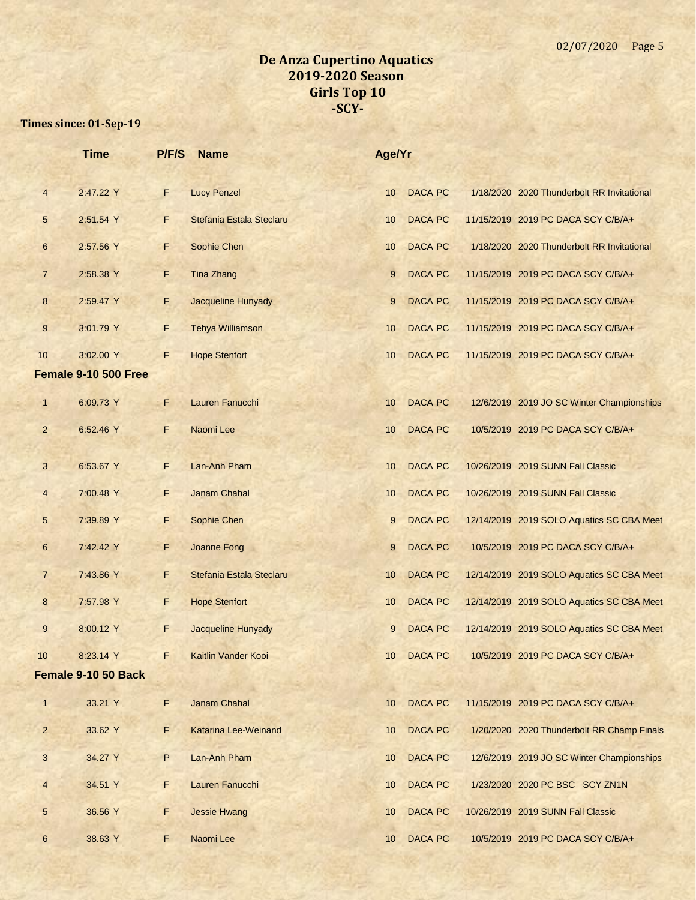|                | <b>Time</b>          | P/F/S | <b>Name</b>                | Age/Yr          |                |                                            |
|----------------|----------------------|-------|----------------------------|-----------------|----------------|--------------------------------------------|
| $\overline{4}$ | 2:47.22 Y            | F     | <b>Lucy Penzel</b>         | 10 <sup>°</sup> | <b>DACA PC</b> | 1/18/2020 2020 Thunderbolt RR Invitational |
| 5              | 2:51.54 Y            | F.    | Stefania Estala Steclaru   | 10              | <b>DACA PC</b> | 11/15/2019 2019 PC DACA SCY C/B/A+         |
| 6              | 2:57.56 Y            | F     | Sophie Chen                | 10              | <b>DACA PC</b> | 1/18/2020 2020 Thunderbolt RR Invitational |
| $\overline{7}$ | 2:58.38 Y            | F     | <b>Tina Zhang</b>          | 9               | <b>DACA PC</b> | 11/15/2019 2019 PC DACA SCY C/B/A+         |
| 8              | 2:59.47 Y            | F     | Jacqueline Hunyady         | 9               | <b>DACA PC</b> | 11/15/2019 2019 PC DACA SCY C/B/A+         |
| $\overline{9}$ | 3:01.79 Y            | F     | <b>Tehya Williamson</b>    | 10              | <b>DACA PC</b> | 11/15/2019 2019 PC DACA SCY C/B/A+         |
| 10             | 3:02.00 Y            | F     | <b>Hope Stenfort</b>       | 10              | <b>DACA PC</b> | 11/15/2019 2019 PC DACA SCY C/B/A+         |
|                | Female 9-10 500 Free |       |                            |                 |                |                                            |
| $\mathbf{1}$   | 6:09.73 Y            | F     | Lauren Fanucchi            | 10              | <b>DACA PC</b> | 12/6/2019 2019 JO SC Winter Championships  |
| $\overline{2}$ | 6:52.46 Y            | F     | Naomi Lee                  | 10              | DACA PC        | 10/5/2019 2019 PC DACA SCY C/B/A+          |
| $\overline{3}$ | 6:53.67 Y            | F     | Lan-Anh Pham               | 10              | <b>DACA PC</b> | 10/26/2019 2019 SUNN Fall Classic          |
| $\overline{4}$ | 7:00.48 Y            | F     | Janam Chahal               | 10              | <b>DACA PC</b> | 10/26/2019 2019 SUNN Fall Classic          |
| 5              | 7:39.89 Y            | F     | Sophie Chen                | 9               | <b>DACA PC</b> | 12/14/2019 2019 SOLO Aquatics SC CBA Meet  |
| $6\phantom{1}$ | 7:42.42 Y            | F.    | Joanne Fong                | 9               | <b>DACA PC</b> | 10/5/2019 2019 PC DACA SCY C/B/A+          |
| $\overline{7}$ | 7:43.86 Y            | F     | Stefania Estala Steclaru   | 10              | <b>DACA PC</b> | 12/14/2019 2019 SOLO Aquatics SC CBA Meet  |
| 8              | 7:57.98 Y            | F     | <b>Hope Stenfort</b>       | 10              | <b>DACA PC</b> | 12/14/2019 2019 SOLO Aquatics SC CBA Meet  |
| 9              | 8:00.12 Y            | F.    | <b>Jacqueline Hunyady</b>  | 9               | <b>DACA PC</b> | 12/14/2019 2019 SOLO Aquatics SC CBA Meet  |
| 10             | 8:23.14 Y            | F     | <b>Kaitlin Vander Kooi</b> | 10              | DACA PC        | 10/5/2019 2019 PC DACA SCY C/B/A+          |
|                | Female 9-10 50 Back  |       |                            |                 |                |                                            |
| $\mathbf{1}$   | 33.21 Y              | F     | Janam Chahal               | 10              | <b>DACA PC</b> | 11/15/2019 2019 PC DACA SCY C/B/A+         |
| $\overline{a}$ | 33.62 Y              | F.    | Katarina Lee-Weinand       | 10 <sup>1</sup> | <b>DACA PC</b> | 1/20/2020 2020 Thunderbolt RR Champ Finals |
| 3              | 34.27 Y              | P.    | Lan-Anh Pham               | 10 <sup>°</sup> | <b>DACA PC</b> | 12/6/2019 2019 JO SC Winter Championships  |
| $\overline{4}$ | 34.51 Y              | F     | Lauren Fanucchi            | 10              | <b>DACA PC</b> | 1/23/2020 2020 PC BSC SCY ZN1N             |
| 5              | 36.56 Y              | F     | <b>Jessie Hwang</b>        | 10              | DACA PC        | 10/26/2019 2019 SUNN Fall Classic          |
| 6              | 38.63 Y              | F.    | Naomi Lee                  | 10              | DACA PC        | 10/5/2019 2019 PC DACA SCY C/B/A+          |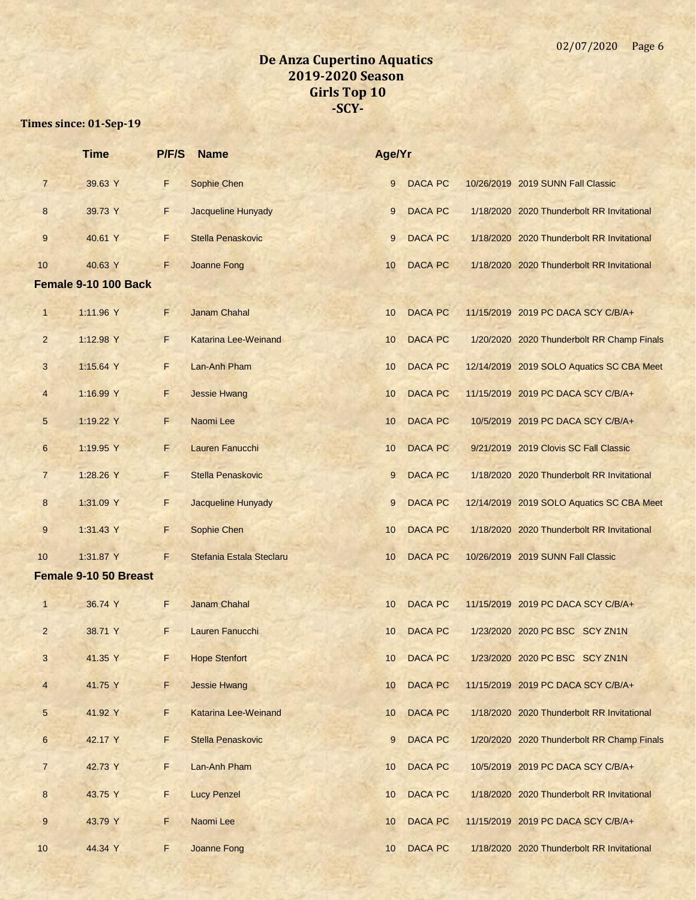|                 | <b>Time</b>           | <b>P/F/S</b> | <b>Name</b>                 | Age/Yr          |                |                                            |
|-----------------|-----------------------|--------------|-----------------------------|-----------------|----------------|--------------------------------------------|
| $\overline{7}$  | 39.63 Y               | F            | Sophie Chen                 | 9               | <b>DACA PC</b> | 10/26/2019 2019 SUNN Fall Classic          |
| 8               | 39.73 Y               | F            | Jacqueline Hunyady          | 9               | <b>DACA PC</b> | 1/18/2020 2020 Thunderbolt RR Invitational |
| 9               | 40.61 Y               | F            | <b>Stella Penaskovic</b>    | 9               | <b>DACA PC</b> | 1/18/2020 2020 Thunderbolt RR Invitational |
| 10              | 40.63 Y               | F            | Joanne Fong                 | 10              | <b>DACA PC</b> | 1/18/2020 2020 Thunderbolt RR Invitational |
|                 | Female 9-10 100 Back  |              |                             |                 |                |                                            |
| $\mathbf{1}$    | 1:11.96 Y             | F.           | <b>Janam Chahal</b>         | 10              | <b>DACA PC</b> | 11/15/2019 2019 PC DACA SCY C/B/A+         |
| $\overline{2}$  | 1:12.98 Y             | F.           | Katarina Lee-Weinand        | 10              | <b>DACA PC</b> | 1/20/2020 2020 Thunderbolt RR Champ Finals |
| 3               | 1:15.64 Y             | F            | Lan-Anh Pham                | 10              | <b>DACA PC</b> | 12/14/2019 2019 SOLO Aquatics SC CBA Meet  |
| $\overline{4}$  | 1:16.99 Y             | F            | <b>Jessie Hwang</b>         | 10              | <b>DACA PC</b> | 11/15/2019 2019 PC DACA SCY C/B/A+         |
| 5               | 1:19.22 Y             | F            | Naomi Lee                   | 10              | <b>DACA PC</b> | 10/5/2019 2019 PC DACA SCY C/B/A+          |
| 6               | 1:19.95 Y             | F            | Lauren Fanucchi             | 10              | <b>DACA PC</b> | 9/21/2019 2019 Clovis SC Fall Classic      |
| $\overline{7}$  | 1:28.26 Y             | F            | Stella Penaskovic           | 9               | <b>DACA PC</b> | 1/18/2020 2020 Thunderbolt RR Invitational |
| 8               | 1:31.09 Y             | $\mathsf F$  | <b>Jacqueline Hunyady</b>   | 9               | <b>DACA PC</b> | 12/14/2019 2019 SOLO Aquatics SC CBA Meet  |
| 9               | 1:31.43 Y             | F            | Sophie Chen                 | 10              | <b>DACA PC</b> | 1/18/2020 2020 Thunderbolt RR Invitational |
| 10              | 1:31.87 Y             | F            | Stefania Estala Steclaru    | 10              | <b>DACA PC</b> | 10/26/2019 2019 SUNN Fall Classic          |
|                 | Female 9-10 50 Breast |              |                             |                 |                |                                            |
| $\mathbf{1}$    | 36.74 Y               | F            | <b>Janam Chahal</b>         | 10              | <b>DACA PC</b> | 11/15/2019 2019 PC DACA SCY C/B/A+         |
| $\overline{a}$  | 38.71 Y               | F            | Lauren Fanucchi             | 10              | <b>DACA PC</b> | 1/23/2020 2020 PC BSC SCY ZN1N             |
| 3               | 41.35 Y               | F            | <b>Hope Stenfort</b>        | 10              | <b>DACA PC</b> | 1/23/2020 2020 PC BSC SCY ZN1N             |
| $\overline{4}$  | 41.75 Y               | F            | <b>Jessie Hwang</b>         | 10              | <b>DACA PC</b> | 11/15/2019 2019 PC DACA SCY C/B/A+         |
| $5\phantom{.0}$ | 41.92 Y               | F            | <b>Katarina Lee-Weinand</b> | 10              | <b>DACA PC</b> | 1/18/2020 2020 Thunderbolt RR Invitational |
| 6               | 42.17 Y               | F            | Stella Penaskovic           | 9               | <b>DACA PC</b> | 1/20/2020 2020 Thunderbolt RR Champ Finals |
| $\overline{7}$  | 42.73 Y               | F            | Lan-Anh Pham                | 10              | <b>DACA PC</b> | 10/5/2019 2019 PC DACA SCY C/B/A+          |
| 8               | 43.75 Y               | F.           | <b>Lucy Penzel</b>          | 10              | <b>DACA PC</b> | 1/18/2020 2020 Thunderbolt RR Invitational |
| 9               | 43.79 Y               | F            | Naomi Lee                   | 10              | <b>DACA PC</b> | 11/15/2019 2019 PC DACA SCY C/B/A+         |
| 10              | 44.34 Y               | F            | Joanne Fong                 | 10 <sup>1</sup> | <b>DACA PC</b> | 1/18/2020 2020 Thunderbolt RR Invitational |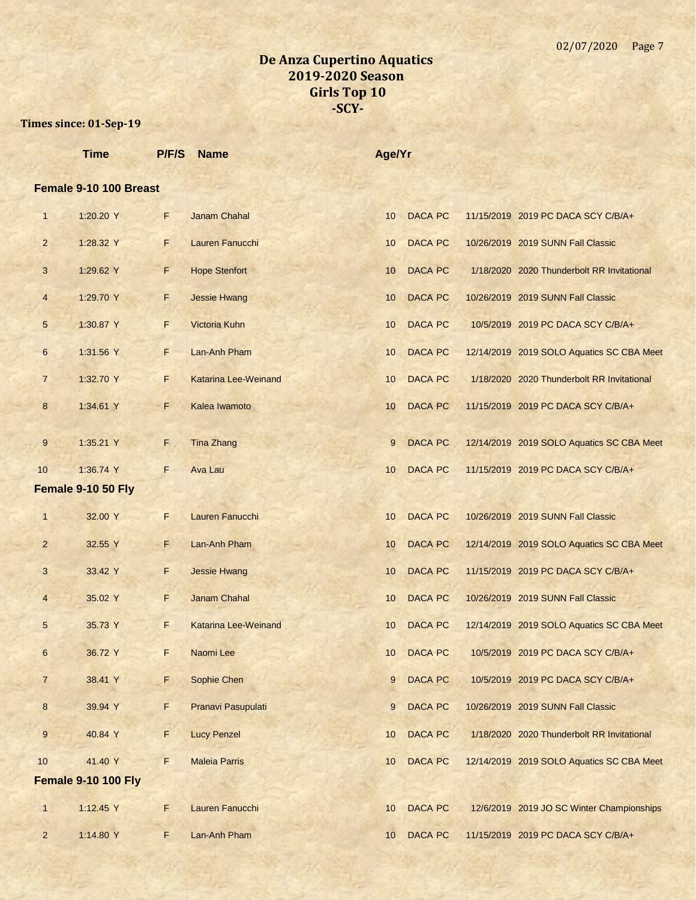|                 | <b>Time</b>                | P/F/S | <b>Name</b>                 | Age/Yr          |                |                                            |
|-----------------|----------------------------|-------|-----------------------------|-----------------|----------------|--------------------------------------------|
|                 | Female 9-10 100 Breast     |       |                             |                 |                |                                            |
| 1               | 1:20.20 Y                  | F.    | <b>Janam Chahal</b>         | 10              | <b>DACA PC</b> | 11/15/2019 2019 PC DACA SCY C/B/A+         |
| $\overline{2}$  | 1:28.32 Y                  | F.    | Lauren Fanucchi             | 10              | <b>DACA PC</b> | 10/26/2019 2019 SUNN Fall Classic          |
| 3               | 1:29.62 Y                  | F     | <b>Hope Stenfort</b>        | 10              | <b>DACA PC</b> | 1/18/2020 2020 Thunderbolt RR Invitational |
| $\overline{4}$  | 1:29.70 Y                  | F     | <b>Jessie Hwang</b>         | 10              | <b>DACA PC</b> | 10/26/2019 2019 SUNN Fall Classic          |
| $5\overline{)}$ | 1:30.87 Y                  | F     | Victoria Kuhn               | 10              | <b>DACA PC</b> | 10/5/2019 2019 PC DACA SCY C/B/A+          |
| 6               | 1:31.56 Y                  | F.    | Lan-Anh Pham                | 10              | <b>DACA PC</b> | 12/14/2019 2019 SOLO Aquatics SC CBA Meet  |
| $\overline{7}$  | 1:32.70 Y                  | F     | Katarina Lee-Weinand        | 10              | <b>DACA PC</b> | 1/18/2020 2020 Thunderbolt RR Invitational |
| 8               | 1:34.61 Y                  | F     | Kalea Iwamoto               | 10              | <b>DACA PC</b> | 11/15/2019 2019 PC DACA SCY C/B/A+         |
| 9               | 1:35.21 Y                  | F.    | <b>Tina Zhang</b>           | 9               | <b>DACA PC</b> | 12/14/2019 2019 SOLO Aquatics SC CBA Meet  |
| 10              | 1:36.74 Y                  | F     | <b>Ava Lau</b>              | 10              | <b>DACA PC</b> | 11/15/2019 2019 PC DACA SCY C/B/A+         |
|                 | Female 9-10 50 Fly         |       |                             |                 |                |                                            |
| $\mathbf{1}$    | 32.00 Y                    | F     | Lauren Fanucchi             | 10              | <b>DACA PC</b> | 10/26/2019 2019 SUNN Fall Classic          |
| $\overline{2}$  | 32.55 Y                    | F     | Lan-Anh Pham                | 10              | <b>DACA PC</b> | 12/14/2019 2019 SOLO Aquatics SC CBA Meet  |
| 3               | 33.42 Y                    | F.    | <b>Jessie Hwang</b>         | 10              | <b>DACA PC</b> | 11/15/2019 2019 PC DACA SCY C/B/A+         |
| 4               | 35.02 Y                    | F     | <b>Janam Chahal</b>         | 10 <sup>1</sup> | <b>DACA PC</b> | 10/26/2019 2019 SUNN Fall Classic          |
| 5               | 35.73 Y                    | F.    | <b>Katarina Lee-Weinand</b> | 10              | <b>DACA PC</b> | 12/14/2019 2019 SOLO Aquatics SC CBA Meet  |
|                 | 36.72 Y                    | F.    | Naomi Lee                   |                 | 10 DACA PC     | 10/5/2019 2019 PC DACA SCY C/B/A+          |
| $\overline{7}$  | 38.41 Y                    | F     | Sophie Chen                 | 9               | <b>DACA PC</b> | 10/5/2019 2019 PC DACA SCY C/B/A+          |
| $\bf{8}$        | 39.94 Y                    | F     | Pranavi Pasupulati          | 9               | <b>DACA PC</b> | 10/26/2019 2019 SUNN Fall Classic          |
| 9               | 40.84 Y                    | F     | <b>Lucy Penzel</b>          | 10              | <b>DACA PC</b> | 1/18/2020 2020 Thunderbolt RR Invitational |
| 10              | 41.40 Y                    | F.    | <b>Maleia Parris</b>        | 10              | <b>DACA PC</b> | 12/14/2019 2019 SOLO Aquatics SC CBA Meet  |
|                 | <b>Female 9-10 100 Fly</b> |       |                             |                 |                |                                            |
| $\mathbf{1}$    | 1:12.45 Y                  | F     | Lauren Fanucchi             | 10              | <b>DACA PC</b> | 12/6/2019 2019 JO SC Winter Championships  |
| $\overline{2}$  | 1:14.80 Y                  | F.    | Lan-Anh Pham                | 10              | DACA PC        | 11/15/2019 2019 PC DACA SCY C/B/A+         |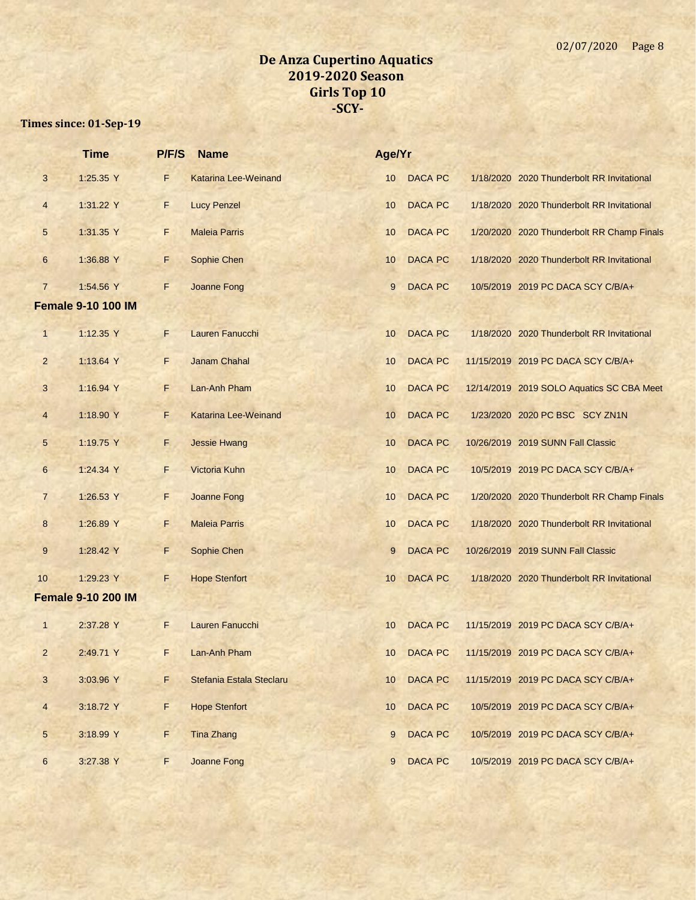|                 | <b>Time</b>               | P/F/S       | <b>Name</b>                 | Age/Yr          |                |                                            |
|-----------------|---------------------------|-------------|-----------------------------|-----------------|----------------|--------------------------------------------|
| 3               | 1:25.35 Y                 | F           | <b>Katarina Lee-Weinand</b> | 10              | <b>DACA PC</b> | 1/18/2020 2020 Thunderbolt RR Invitational |
| $\overline{4}$  | 1:31.22 Y                 | F           | <b>Lucy Penzel</b>          | 10              | <b>DACA PC</b> | 1/18/2020 2020 Thunderbolt RR Invitational |
| 5               | 1:31.35 Y                 | F           | <b>Maleia Parris</b>        | 10              | <b>DACA PC</b> | 1/20/2020 2020 Thunderbolt RR Champ Finals |
| 6               | 1:36.88 Y                 | F.          | Sophie Chen                 | 10              | <b>DACA PC</b> | 1/18/2020 2020 Thunderbolt RR Invitational |
| $\overline{7}$  | 1:54.56 Y                 | F           | Joanne Fong                 | 9               | <b>DACA PC</b> | 10/5/2019 2019 PC DACA SCY C/B/A+          |
|                 | <b>Female 9-10 100 IM</b> |             |                             |                 |                |                                            |
| $\mathbf{1}$    | 1:12.35 Y                 | F           | Lauren Fanucchi             | 10              | <b>DACA PC</b> | 1/18/2020 2020 Thunderbolt RR Invitational |
| $\overline{2}$  | 1:13.64 Y                 | F           | <b>Janam Chahal</b>         | 10              | <b>DACA PC</b> | 11/15/2019 2019 PC DACA SCY C/B/A+         |
| 3               | 1:16.94 Y                 | F.          | Lan-Anh Pham                | 10              | <b>DACA PC</b> | 12/14/2019 2019 SOLO Aquatics SC CBA Meet  |
| $\overline{4}$  | 1:18.90 Y                 | F           | <b>Katarina Lee-Weinand</b> | 10              | <b>DACA PC</b> | 1/23/2020 2020 PC BSC SCY ZN1N             |
| $5\phantom{.0}$ | 1:19.75 Y                 | E.          | <b>Jessie Hwang</b>         | 10              | <b>DACA PC</b> | 10/26/2019 2019 SUNN Fall Classic          |
| $6\phantom{1}$  | 1:24.34 Y                 | F.          | Victoria Kuhn               | 10              | <b>DACA PC</b> | 10/5/2019 2019 PC DACA SCY C/B/A+          |
| $\overline{7}$  | 1:26.53 Y                 | F.          | Joanne Fong                 | 10              | <b>DACA PC</b> | 1/20/2020 2020 Thunderbolt RR Champ Finals |
| 8               | 1:26.89 Y                 | F.          | <b>Maleia Parris</b>        | 10              | <b>DACA PC</b> | 1/18/2020 2020 Thunderbolt RR Invitational |
| 9               | 1:28.42 Y                 | F           | Sophie Chen                 | 9               | <b>DACA PC</b> | 10/26/2019 2019 SUNN Fall Classic          |
| 10              | 1:29.23 Y                 | F           | <b>Hope Stenfort</b>        | 10              | <b>DACA PC</b> | 1/18/2020 2020 Thunderbolt RR Invitational |
|                 | <b>Female 9-10 200 IM</b> |             |                             |                 |                |                                            |
| $\mathbf{1}$    | 2:37.28 Y                 | F           | Lauren Fanucchi             | 10              | <b>DACA PC</b> | 11/15/2019 2019 PC DACA SCY C/B/A+         |
| 2               | 2:49.71 Y                 | F.          | Lan-Anh Pham                | 10 <sup>1</sup> | <b>DACA PC</b> | 11/15/2019 2019 PC DACA SCY C/B/A+         |
| $\mathbf{3}$    | 3:03.96 Y                 | F           | Stefania Estala Steclaru    | 10              | <b>DACA PC</b> | 11/15/2019 2019 PC DACA SCY C/B/A+         |
| $\overline{4}$  | 3:18.72 Y                 | $\mathsf F$ | <b>Hope Stenfort</b>        | 10              | DACA PC        | 10/5/2019 2019 PC DACA SCY C/B/A+          |
| $5\phantom{.0}$ | 3:18.99 Y                 | F           | <b>Tina Zhang</b>           | 9               | <b>DACA PC</b> | 10/5/2019 2019 PC DACA SCY C/B/A+          |
| $6\overline{6}$ | 3:27.38 Y                 | F.          | <b>Joanne Fong</b>          | 9               | <b>DACA PC</b> | 10/5/2019 2019 PC DACA SCY C/B/A+          |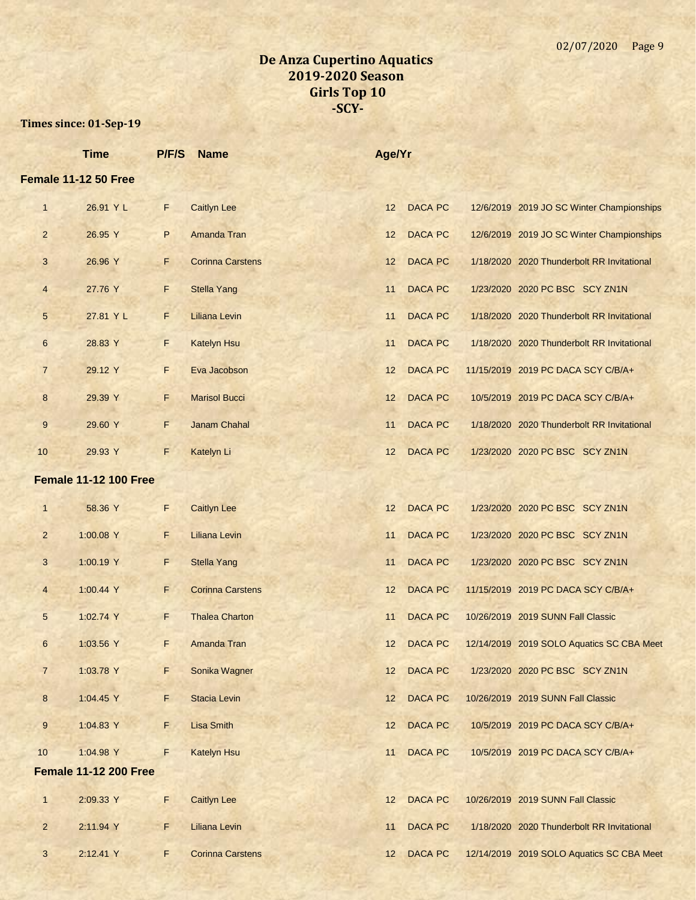|                | <b>Time</b>                  | P/F/S | <b>Name</b>             | Age/Yr |                |                                            |
|----------------|------------------------------|-------|-------------------------|--------|----------------|--------------------------------------------|
|                | Female 11-12 50 Free         |       |                         |        |                |                                            |
| $\mathbf{1}$   | 26.91 Y L                    | F.    | <b>Caitlyn Lee</b>      | 12     | <b>DACA PC</b> | 12/6/2019 2019 JO SC Winter Championships  |
| $\overline{2}$ | 26.95 Y                      | P     | Amanda Tran             | 12     | <b>DACA PC</b> | 12/6/2019 2019 JO SC Winter Championships  |
| 3              | 26.96 Y                      | F     | <b>Corinna Carstens</b> | 12     | <b>DACA PC</b> | 1/18/2020 2020 Thunderbolt RR Invitational |
| $\overline{4}$ | 27.76 Y                      | F     | <b>Stella Yang</b>      | 11     | <b>DACA PC</b> | 1/23/2020 2020 PC BSC SCY ZN1N             |
| 5              | 27.81 Y L                    | F     | <b>Liliana Levin</b>    | 11     | <b>DACA PC</b> | 1/18/2020 2020 Thunderbolt RR Invitational |
| 6              | 28.83 Y                      | F.    | <b>Katelyn Hsu</b>      | 11     | <b>DACA PC</b> | 1/18/2020 2020 Thunderbolt RR Invitational |
| $\overline{7}$ | 29.12 Y                      | F     | Eva Jacobson            | 12     | <b>DACA PC</b> | 11/15/2019 2019 PC DACA SCY C/B/A+         |
| 8              | 29.39 Y                      | F.    | <b>Marisol Bucci</b>    | 12     | <b>DACA PC</b> | 10/5/2019 2019 PC DACA SCY C/B/A+          |
| 9              | 29.60 Y                      | F     | Janam Chahal            | 11     | <b>DACA PC</b> | 1/18/2020 2020 Thunderbolt RR Invitational |
| 10             | 29.93 Y                      | F     | Katelyn Li              | 12     | <b>DACA PC</b> | 1/23/2020 2020 PC BSC SCY ZN1N             |
|                | <b>Female 11-12 100 Free</b> |       |                         |        |                |                                            |
| $\mathbf{1}$   | 58.36 Y                      | F     | <b>Caitlyn Lee</b>      | 12     | <b>DACA PC</b> | 1/23/2020 2020 PC BSC SCY ZN1N             |
| $\overline{2}$ | 1:00.08 Y                    | F     | <b>Liliana Levin</b>    | 11     | <b>DACA PC</b> | 1/23/2020 2020 PC BSC SCY ZN1N             |
| 3              | 1:00.19 Y                    | F     | <b>Stella Yang</b>      | 11     | <b>DACA PC</b> | 1/23/2020 2020 PC BSC SCY ZN1N             |
| $\overline{4}$ | 1:00.44 Y                    | F.    | <b>Corinna Carstens</b> | 12     | <b>DACA PC</b> | 11/15/2019 2019 PC DACA SCY C/B/A+         |
| 5              | 1:02.74 Y                    | F.    | <b>Thalea Charton</b>   | 11     | <b>DACA PC</b> | 10/26/2019 2019 SUNN Fall Classic          |
| 6              | 1:03.56 Y                    | F.    | Amanda Tran             | 12     | <b>DACA PC</b> | 12/14/2019 2019 SOLO Aquatics SC CBA Meet  |
| $\overline{7}$ | 1:03.78 Y                    | F     | Sonika Wagner           | 12     | <b>DACA PC</b> | 1/23/2020 2020 PC BSC SCY ZN1N             |
| 8              | 1:04.45 Y                    | F     | <b>Stacia Levin</b>     | 12     | DACA PC        | 10/26/2019 2019 SUNN Fall Classic          |
| 9              | 1:04.83 Y                    | F.    | <b>Lisa Smith</b>       | 12     | <b>DACA PC</b> | 10/5/2019 2019 PC DACA SCY C/B/A+          |
| 10             | 1:04.98 Y                    | F     | <b>Katelyn Hsu</b>      | 11     | DACA PC        | 10/5/2019 2019 PC DACA SCY C/B/A+          |
|                | <b>Female 11-12 200 Free</b> |       |                         |        |                |                                            |
| $\mathbf{1}$   | 2:09.33 Y                    | F     | <b>Caitlyn Lee</b>      | 12     | <b>DACA PC</b> | 10/26/2019 2019 SUNN Fall Classic          |
| $\overline{2}$ | 2:11.94 Y                    | F.    | <b>Liliana Levin</b>    | 11     | <b>DACA PC</b> | 1/18/2020 2020 Thunderbolt RR Invitational |
| 3              | 2:12.41 Y                    | F     | <b>Corinna Carstens</b> | 12     | <b>DACA PC</b> | 12/14/2019 2019 SOLO Aquatics SC CBA Meet  |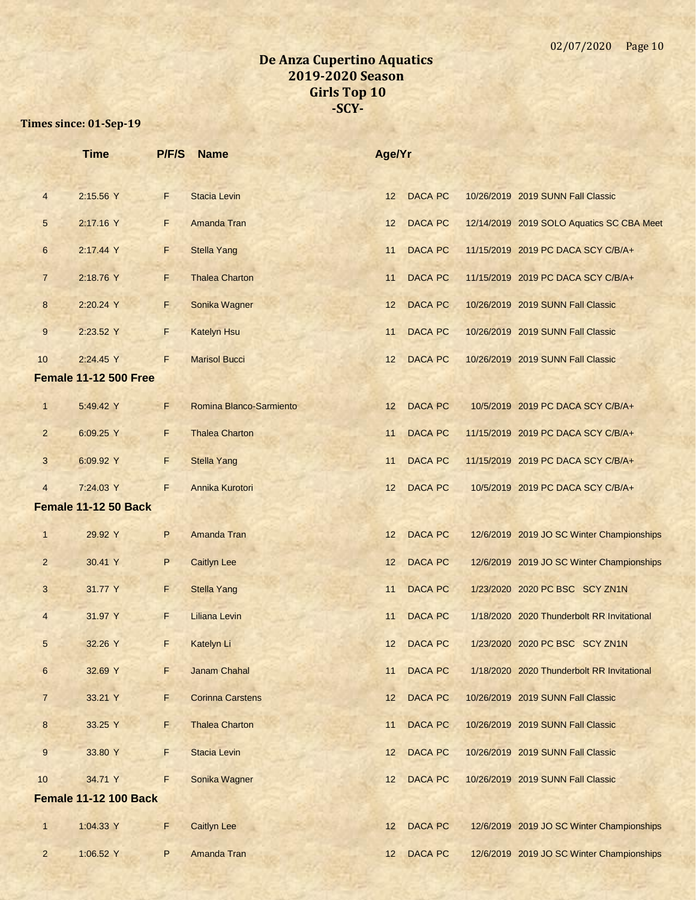|                  | <b>Time</b>                  | P/F/S | <b>Name</b>             | Age/Yr |                |                                            |
|------------------|------------------------------|-------|-------------------------|--------|----------------|--------------------------------------------|
| $\overline{4}$   | 2:15.56 Y                    | F     | <b>Stacia Levin</b>     | 12     | <b>DACA PC</b> | 10/26/2019 2019 SUNN Fall Classic          |
| $5\phantom{.0}$  | 2:17.16 Y                    | F     | Amanda Tran             | 12     | <b>DACA PC</b> | 12/14/2019 2019 SOLO Aquatics SC CBA Meet  |
| 6                | 2:17.44 Y                    | F     | <b>Stella Yang</b>      | 11     | <b>DACA PC</b> | 11/15/2019 2019 PC DACA SCY C/B/A+         |
| $\overline{7}$   | 2:18.76 Y                    | F     | <b>Thalea Charton</b>   | 11     | <b>DACA PC</b> | 11/15/2019 2019 PC DACA SCY C/B/A+         |
| $\bf 8$          | 2:20.24 Y                    | F.    | Sonika Wagner           | 12     | <b>DACA PC</b> | 10/26/2019 2019 SUNN Fall Classic          |
| $9\,$            | 2:23.52 Y                    | F     | <b>Katelyn Hsu</b>      | 11     | <b>DACA PC</b> | 10/26/2019 2019 SUNN Fall Classic          |
| 10               | 2:24.45 Y                    | F     | <b>Marisol Bucci</b>    | 12     | <b>DACA PC</b> | 10/26/2019 2019 SUNN Fall Classic          |
|                  | <b>Female 11-12 500 Free</b> |       |                         |        |                |                                            |
| $\mathbf{1}$     | 5:49.42 Y                    | F     | Romina Blanco-Sarmiento | 12     | <b>DACA PC</b> | 10/5/2019 2019 PC DACA SCY C/B/A+          |
| $\overline{2}$   | 6:09.25 Y                    | F     | <b>Thalea Charton</b>   | 11     | <b>DACA PC</b> | 11/15/2019 2019 PC DACA SCY C/B/A+         |
| 3                | 6:09.92 Y                    | F     | <b>Stella Yang</b>      | 11     | <b>DACA PC</b> | 11/15/2019 2019 PC DACA SCY C/B/A+         |
| $\overline{4}$   | 7:24.03 Y                    | F     | Annika Kurotori         | 12     | <b>DACA PC</b> | 10/5/2019 2019 PC DACA SCY C/B/A+          |
|                  | <b>Female 11-12 50 Back</b>  |       |                         |        |                |                                            |
| $\mathbf{1}$     | 29.92 Y                      | P     | Amanda Tran             | 12     | <b>DACA PC</b> | 12/6/2019 2019 JO SC Winter Championships  |
| $\overline{2}$   | 30.41 Y                      | P     | <b>Caitlyn Lee</b>      | 12     | <b>DACA PC</b> | 12/6/2019 2019 JO SC Winter Championships  |
| 3                | 31.77 Y                      | F.    | <b>Stella Yang</b>      | 11     | <b>DACA PC</b> | 1/23/2020 2020 PC BSC SCY ZN1N             |
| $\overline{4}$   | 31.97 Y                      | F     | <b>Liliana Levin</b>    | 11     | <b>DACA PC</b> | 1/18/2020 2020 Thunderbolt RR Invitational |
| 5                | 32.26 Y                      | F     | Katelyn Li              | 12     | <b>DACA PC</b> | 1/23/2020 2020 PC BSC SCY ZN1N             |
| $\boldsymbol{6}$ | 32.69 Y                      | F     | Janam Chahal            | 11     | <b>DACA PC</b> | 1/18/2020 2020 Thunderbolt RR Invitational |
| $\overline{7}$   | 33.21 Y                      | F.    | <b>Corinna Carstens</b> | 12     | <b>DACA PC</b> | 10/26/2019 2019 SUNN Fall Classic          |
| $\bf 8$          | 33.25 Y                      | F.    | <b>Thalea Charton</b>   | 11     | DACA PC        | 10/26/2019 2019 SUNN Fall Classic          |
| 9                | 33.80 Y                      | F     | <b>Stacia Levin</b>     | 12     | DACA PC        | 10/26/2019 2019 SUNN Fall Classic          |
| 10               | 34.71 Y                      | F     | Sonika Wagner           | 12     | <b>DACA PC</b> | 10/26/2019 2019 SUNN Fall Classic          |
|                  | <b>Female 11-12 100 Back</b> |       |                         |        |                |                                            |
| $\mathbf{1}$     | 1:04.33 Y                    | F.    | <b>Caitlyn Lee</b>      | 12     | <b>DACA PC</b> | 12/6/2019 2019 JO SC Winter Championships  |
| $\overline{2}$   | 1:06.52 Y                    | P     | Amanda Tran             | 12     | DACA PC        | 12/6/2019 2019 JO SC Winter Championships  |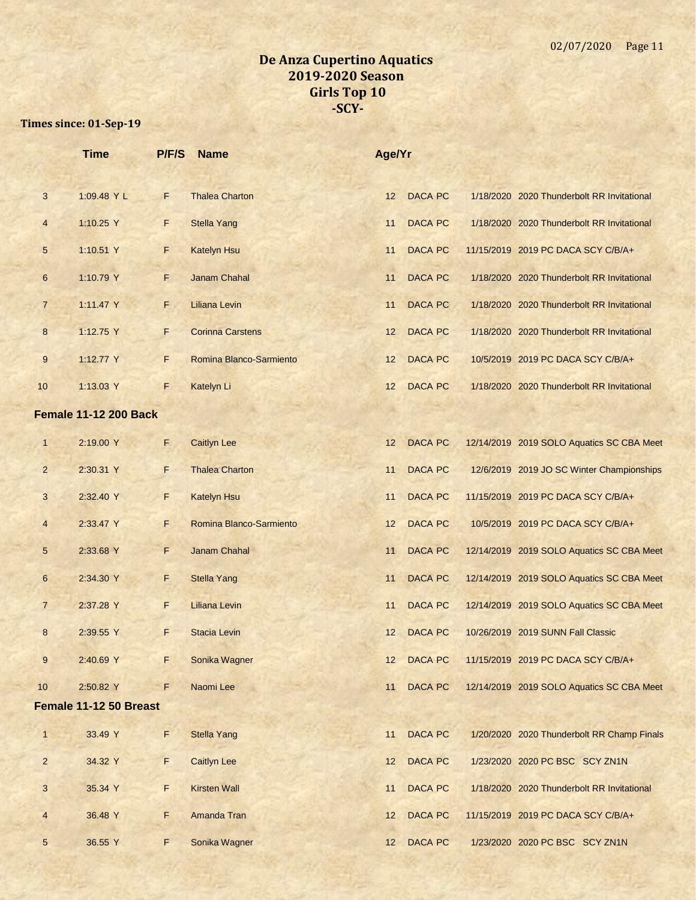|                | <b>Time</b>                  | P/F/S | <b>Name</b>             | Age/Yr          |                |                                            |
|----------------|------------------------------|-------|-------------------------|-----------------|----------------|--------------------------------------------|
| 3              | 1:09.48 Y L                  | F     | <b>Thalea Charton</b>   | 12              | <b>DACA PC</b> | 1/18/2020 2020 Thunderbolt RR Invitational |
| $\overline{4}$ | 1:10.25 Y                    | F     | <b>Stella Yang</b>      | 11              | <b>DACA PC</b> | 1/18/2020 2020 Thunderbolt RR Invitational |
| 5              | 1:10.51 Y                    | F.    | <b>Katelyn Hsu</b>      | 11              | <b>DACA PC</b> | 11/15/2019 2019 PC DACA SCY C/B/A+         |
| 6              | 1:10.79 Y                    | F.    | Janam Chahal            | 11              | <b>DACA PC</b> | 1/18/2020 2020 Thunderbolt RR Invitational |
| $\overline{7}$ | 1:11.47 Y                    | F.    | <b>Liliana Levin</b>    | 11              | <b>DACA PC</b> | 1/18/2020 2020 Thunderbolt RR Invitational |
| 8              | 1:12.75 Y                    | F.    | <b>Corinna Carstens</b> | 12              | <b>DACA PC</b> | 1/18/2020 2020 Thunderbolt RR Invitational |
| 9              | 1:12.77 Y                    | F.    | Romina Blanco-Sarmiento | 12              | <b>DACA PC</b> | 10/5/2019 2019 PC DACA SCY C/B/A+          |
| 10             | 1:13.03 Y                    | F     | Katelyn Li              | 12              | <b>DACA PC</b> | 1/18/2020 2020 Thunderbolt RR Invitational |
|                | <b>Female 11-12 200 Back</b> |       |                         |                 |                |                                            |
| $\mathbf{1}$   | 2:19.00 Y                    | F.    | <b>Caitlyn Lee</b>      | 12              | <b>DACA PC</b> | 12/14/2019 2019 SOLO Aquatics SC CBA Meet  |
| $\overline{2}$ | 2:30.31 Y                    | F.    | <b>Thalea Charton</b>   | 11              | <b>DACA PC</b> | 12/6/2019 2019 JO SC Winter Championships  |
| 3              | 2:32.40 Y                    | F.    | <b>Katelyn Hsu</b>      | 11              | <b>DACA PC</b> | 11/15/2019 2019 PC DACA SCY C/B/A+         |
| 4              | 2:33.47 Y                    | F.    | Romina Blanco-Sarmiento | 12              | <b>DACA PC</b> | 10/5/2019 2019 PC DACA SCY C/B/A+          |
| 5              | 2:33.68 Y                    | F.    | Janam Chahal            | 11              | <b>DACA PC</b> | 12/14/2019 2019 SOLO Aquatics SC CBA Meet  |
| 6              | 2:34.30 Y                    | F.    | <b>Stella Yang</b>      | 11              | <b>DACA PC</b> | 12/14/2019 2019 SOLO Aquatics SC CBA Meet  |
| $\overline{7}$ | 2:37.28 Y                    | F     | Liliana Levin           | 11              | <b>DACA PC</b> | 12/14/2019 2019 SOLO Aquatics SC CBA Meet  |
| 8              | 2:39.55 Y                    | F.    | <b>Stacia Levin</b>     | 12              | <b>DACA PC</b> | 10/26/2019 2019 SUNN Fall Classic          |
| 9              | 2:40.69 Y                    | F.    | Sonika Wagner           | 12 <sup>2</sup> | <b>DACA PC</b> | 11/15/2019 2019 PC DACA SCY C/B/A+         |
| 10             | 2:50.82 Y                    | F     | Naomi Lee               | 11              | <b>DACA PC</b> | 12/14/2019 2019 SOLO Aquatics SC CBA Meet  |
|                | Female 11-12 50 Breast       |       |                         |                 |                |                                            |
| $\mathbf{1}$   | 33.49 Y                      | F.    | <b>Stella Yang</b>      | 11              | <b>DACA PC</b> | 1/20/2020 2020 Thunderbolt RR Champ Finals |
| $\overline{2}$ | 34.32 Y                      | F.    | <b>Caitlyn Lee</b>      | 12              | <b>DACA PC</b> | 1/23/2020 2020 PC BSC SCY ZN1N             |
| 3              | 35.34 Y                      | F.    | <b>Kirsten Wall</b>     | 11              | <b>DACA PC</b> | 1/18/2020 2020 Thunderbolt RR Invitational |
| $\overline{4}$ | 36.48 Y                      | F.    | Amanda Tran             | 12              | <b>DACA PC</b> | 11/15/2019 2019 PC DACA SCY C/B/A+         |
| 5 <sup>5</sup> | 36.55 Y                      | F     | Sonika Wagner           | 12 <sup>2</sup> | DACA PC        | 1/23/2020 2020 PC BSC SCY ZN1N             |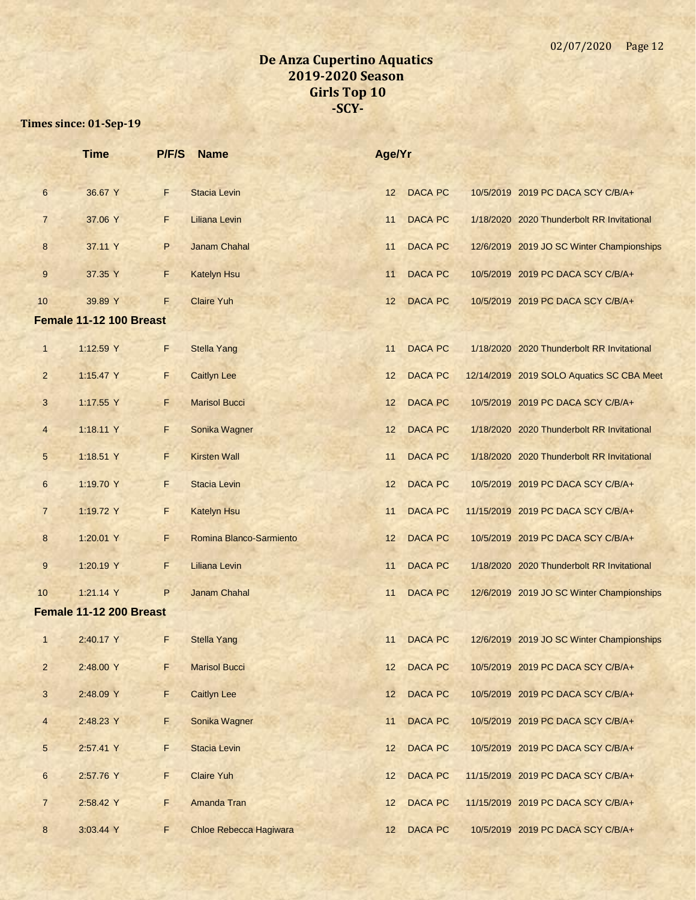|                 | <b>Time</b>             | P/F/S | <b>Name</b>                   | Age/Yr |                |                                            |
|-----------------|-------------------------|-------|-------------------------------|--------|----------------|--------------------------------------------|
| 6               | 36.67 Y                 | F     | <b>Stacia Levin</b>           | 12     | <b>DACA PC</b> | 10/5/2019 2019 PC DACA SCY C/B/A+          |
| $\overline{7}$  | 37.06 Y                 | F     | <b>Liliana Levin</b>          | 11     | <b>DACA PC</b> | 1/18/2020 2020 Thunderbolt RR Invitational |
| 8               | 37.11 Y                 | P     | <b>Janam Chahal</b>           | 11     | <b>DACA PC</b> | 12/6/2019 2019 JO SC Winter Championships  |
| 9               | 37.35 Y                 | F.    | <b>Katelyn Hsu</b>            | 11     | <b>DACA PC</b> | 10/5/2019 2019 PC DACA SCY C/B/A+          |
| 10              | 39.89 Y                 | F     | <b>Claire Yuh</b>             | 12     | <b>DACA PC</b> | 10/5/2019 2019 PC DACA SCY C/B/A+          |
|                 | Female 11-12 100 Breast |       |                               |        |                |                                            |
| $\mathbf{1}$    | 1:12.59 Y               | F.    | <b>Stella Yang</b>            | 11     | <b>DACA PC</b> | 1/18/2020 2020 Thunderbolt RR Invitational |
| $\overline{2}$  | 1:15.47 Y               | F     | <b>Caitlyn Lee</b>            | 12     | <b>DACA PC</b> | 12/14/2019 2019 SOLO Aquatics SC CBA Meet  |
| 3               | 1:17.55 Y               | F     | <b>Marisol Bucci</b>          | 12     | <b>DACA PC</b> | 10/5/2019 2019 PC DACA SCY C/B/A+          |
| $\overline{4}$  | 1:18.11 Y               | F     | Sonika Wagner                 | 12     | <b>DACA PC</b> | 1/18/2020 2020 Thunderbolt RR Invitational |
| $5\phantom{.0}$ | 1:18.51 Y               | F     | <b>Kirsten Wall</b>           | 11     | <b>DACA PC</b> | 1/18/2020 2020 Thunderbolt RR Invitational |
| 6               | 1:19.70 Y               | F     | <b>Stacia Levin</b>           | 12     | <b>DACA PC</b> | 10/5/2019 2019 PC DACA SCY C/B/A+          |
| $\overline{7}$  | 1:19.72 Y               | F.    | <b>Katelyn Hsu</b>            | 11     | <b>DACA PC</b> | 11/15/2019 2019 PC DACA SCY C/B/A+         |
| 8               | 1:20.01 Y               | F.    | Romina Blanco-Sarmiento       | 12     | <b>DACA PC</b> | 10/5/2019 2019 PC DACA SCY C/B/A+          |
| 9               | 1:20.19 Y               | F     | Liliana Levin                 | 11     | <b>DACA PC</b> | 1/18/2020 2020 Thunderbolt RR Invitational |
| 10              | 1:21.14 Y               | P     | <b>Janam Chahal</b>           | 11     | <b>DACA PC</b> | 12/6/2019 2019 JO SC Winter Championships  |
|                 | Female 11-12 200 Breast |       |                               |        |                |                                            |
| $\mathbf{1}$    | 2:40.17 Y               | F     | <b>Stella Yang</b>            | 11     | <b>DACA PC</b> | 12/6/2019 2019 JO SC Winter Championships  |
| $\overline{a}$  | 2:48.00 Y               | F.    | <b>Marisol Bucci</b>          | 12     | <b>DACA PC</b> | 10/5/2019 2019 PC DACA SCY C/B/A+          |
| $\mathbf{3}$    | 2:48.09 Y               | F     | <b>Caitlyn Lee</b>            | 12     | <b>DACA PC</b> | 10/5/2019 2019 PC DACA SCY C/B/A+          |
| $\overline{4}$  | 2:48.23 Y               | E.    | Sonika Wagner                 | 11     | <b>DACA PC</b> | 10/5/2019 2019 PC DACA SCY C/B/A+          |
| $5\phantom{.0}$ | 2:57.41 Y               | F     | <b>Stacia Levin</b>           | 12     | <b>DACA PC</b> | 10/5/2019 2019 PC DACA SCY C/B/A+          |
| 6               | 2:57.76 Y               | F     | <b>Claire Yuh</b>             | 12     | <b>DACA PC</b> | 11/15/2019 2019 PC DACA SCY C/B/A+         |
| $\overline{7}$  | 2:58.42 Y               | F     | Amanda Tran                   | 12     | <b>DACA PC</b> | 11/15/2019 2019 PC DACA SCY C/B/A+         |
| 8               | 3:03.44 Y               | F     | <b>Chloe Rebecca Hagiwara</b> | 12     | <b>DACA PC</b> | 10/5/2019 2019 PC DACA SCY C/B/A+          |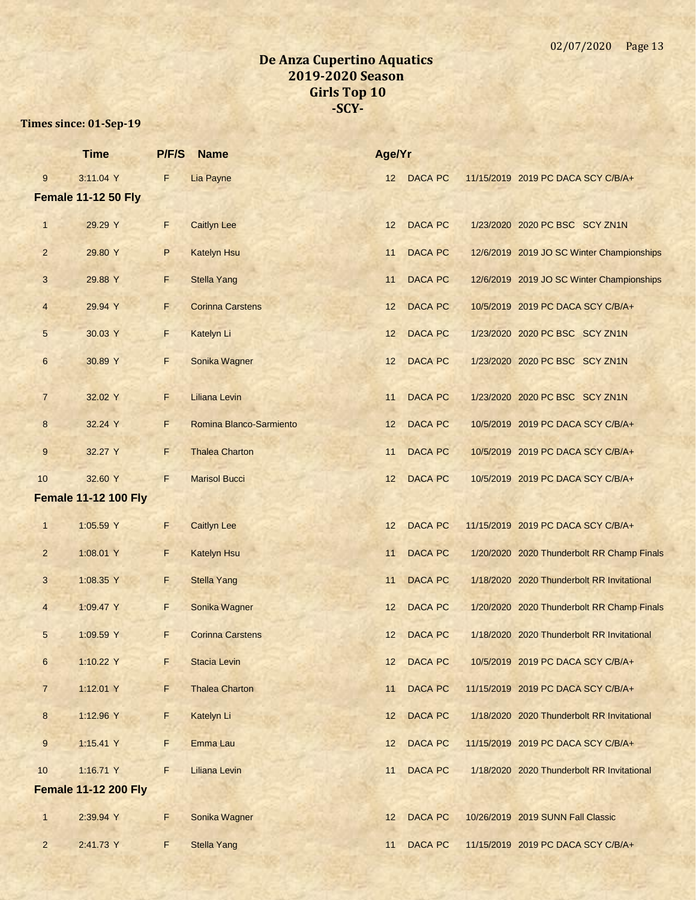|                  | <b>Time</b>                 | P/F/S       | <b>Name</b>             | Age/Yr |                |                                            |
|------------------|-----------------------------|-------------|-------------------------|--------|----------------|--------------------------------------------|
| 9                | 3:11.04 Y                   | F           | Lia Payne               | 12     | <b>DACA PC</b> | 11/15/2019 2019 PC DACA SCY C/B/A+         |
|                  | <b>Female 11-12 50 Fly</b>  |             |                         |        |                |                                            |
| $\mathbf{1}$     | 29.29 Y                     | F           | <b>Caitlyn Lee</b>      | 12     | <b>DACA PC</b> | 1/23/2020 2020 PC BSC SCY ZN1N             |
| $\overline{2}$   | 29.80 Y                     | P           | <b>Katelyn Hsu</b>      | 11     | <b>DACA PC</b> | 12/6/2019 2019 JO SC Winter Championships  |
| 3                | 29.88 Y                     | F           | <b>Stella Yang</b>      | 11     | <b>DACA PC</b> | 12/6/2019 2019 JO SC Winter Championships  |
| $\overline{4}$   | 29.94 Y                     | F.          | <b>Corinna Carstens</b> | 12     | <b>DACA PC</b> | 10/5/2019 2019 PC DACA SCY C/B/A+          |
| $5\overline{)}$  | 30.03 Y                     | F           | Katelyn Li              | 12     | <b>DACA PC</b> | 1/23/2020 2020 PC BSC SCY ZN1N             |
| $6\phantom{1}$   | 30.89 Y                     | F           | Sonika Wagner           | 12     | <b>DACA PC</b> | 1/23/2020 2020 PC BSC SCY ZN1N             |
| $\overline{7}$   | 32.02 Y                     | F.          | <b>Liliana Levin</b>    | 11     | <b>DACA PC</b> | 1/23/2020 2020 PC BSC SCY ZN1N             |
| 8                | 32.24 Y                     | F           | Romina Blanco-Sarmiento | 12     | <b>DACA PC</b> | 10/5/2019 2019 PC DACA SCY C/B/A+          |
| 9                | 32.27 Y                     | F           | <b>Thalea Charton</b>   | 11     | <b>DACA PC</b> | 10/5/2019 2019 PC DACA SCY C/B/A+          |
| 10               | 32.60 Y                     | F           | <b>Marisol Bucci</b>    | 12     | <b>DACA PC</b> | 10/5/2019 2019 PC DACA SCY C/B/A+          |
|                  | <b>Female 11-12 100 Fly</b> |             |                         |        |                |                                            |
| $\mathbf{1}$     | 1:05.59 Y                   | F           | <b>Caitlyn Lee</b>      | 12     | <b>DACA PC</b> | 11/15/2019 2019 PC DACA SCY C/B/A+         |
| $\overline{2}$   | 1:08.01 Y                   | F.          | <b>Katelyn Hsu</b>      | 11     | <b>DACA PC</b> | 1/20/2020 2020 Thunderbolt RR Champ Finals |
| 3                | 1:08.35 Y                   | F           | <b>Stella Yang</b>      | 11     | <b>DACA PC</b> | 1/18/2020 2020 Thunderbolt RR Invitational |
| $\overline{4}$   | 1:09.47 Y                   | F.          | Sonika Wagner           | 12     | <b>DACA PC</b> | 1/20/2020 2020 Thunderbolt RR Champ Finals |
| $5\phantom{.0}$  | 1:09.59 Y                   | F.          | <b>Corinna Carstens</b> | 12     | <b>DACA PC</b> | 1/18/2020 2020 Thunderbolt RR Invitational |
| $\boldsymbol{6}$ | 1:10.22 Y                   | F.          | <b>Stacia Levin</b>     | 12     | <b>DACA PC</b> | 10/5/2019 2019 PC DACA SCY C/B/A+          |
| $7\phantom{.}$   | 1:12.01 Y                   | F           | <b>Thalea Charton</b>   | 11     | <b>DACA PC</b> | 11/15/2019 2019 PC DACA SCY C/B/A+         |
| $\bf 8$          | 1:12.96 Y                   | F           | Katelyn Li              | 12     | <b>DACA PC</b> | 1/18/2020 2020 Thunderbolt RR Invitational |
| 9                | 1:15.41 Y                   | F           | Emma Lau                | 12     | <b>DACA PC</b> | 11/15/2019 2019 PC DACA SCY C/B/A+         |
| 10               | 1:16.71 Y                   | F           | <b>Liliana Levin</b>    | 11     | <b>DACA PC</b> | 1/18/2020 2020 Thunderbolt RR Invitational |
|                  | <b>Female 11-12 200 Fly</b> |             |                         |        |                |                                            |
| $\mathbf{1}$     | 2:39.94 Y                   | $\mathsf F$ | Sonika Wagner           | 12     | <b>DACA PC</b> | 10/26/2019 2019 SUNN Fall Classic          |
| $\overline{2}$   | 2:41.73 Y                   | F           | <b>Stella Yang</b>      | 11     | <b>DACA PC</b> | 11/15/2019 2019 PC DACA SCY C/B/A+         |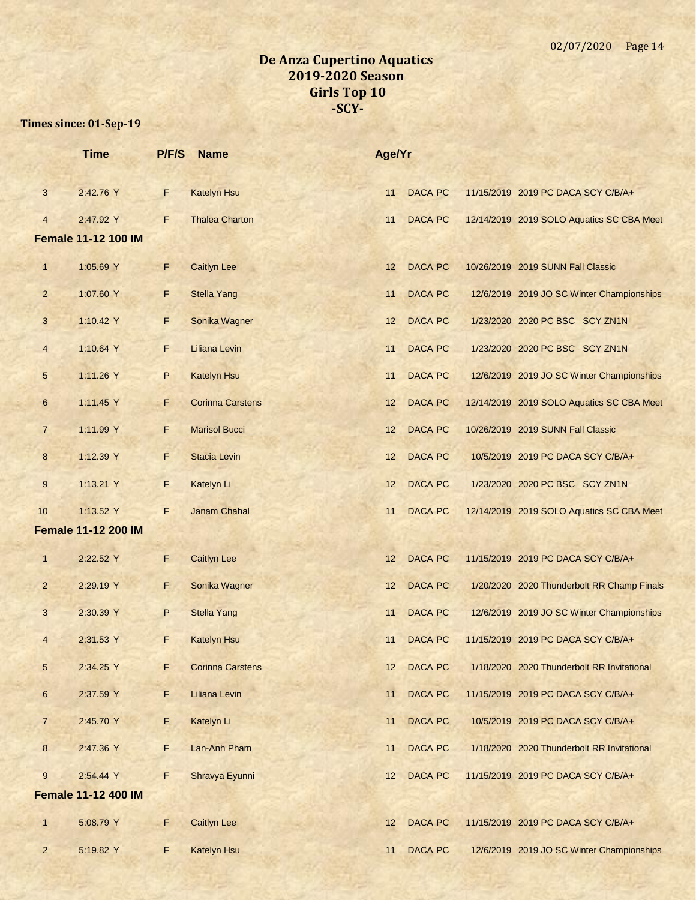|                  | <b>Time</b>                | P/F/S | <b>Name</b>             | Age/Yr |                |                                            |
|------------------|----------------------------|-------|-------------------------|--------|----------------|--------------------------------------------|
| $\mathbf{3}$     | 2:42.76 Y                  | F.    | <b>Katelyn Hsu</b>      | 11     | <b>DACA PC</b> | 11/15/2019 2019 PC DACA SCY C/B/A+         |
| $\overline{4}$   | 2:47.92 Y                  | F     | <b>Thalea Charton</b>   | 11     | <b>DACA PC</b> | 12/14/2019 2019 SOLO Aquatics SC CBA Meet  |
|                  | <b>Female 11-12 100 IM</b> |       |                         |        |                |                                            |
| $\mathbf{1}$     | 1:05.69 Y                  | F     | <b>Caitlyn Lee</b>      | 12     | <b>DACA PC</b> | 10/26/2019 2019 SUNN Fall Classic          |
| $\overline{2}$   | 1:07.60 Y                  | F     | <b>Stella Yang</b>      | 11     | <b>DACA PC</b> | 12/6/2019 2019 JO SC Winter Championships  |
| 3                | 1:10.42 Y                  | F     | Sonika Wagner           | 12     | <b>DACA PC</b> | 1/23/2020 2020 PC BSC SCY ZN1N             |
| $\overline{4}$   | 1:10.64 Y                  | F.    | <b>Liliana Levin</b>    | 11     | <b>DACA PC</b> | 1/23/2020 2020 PC BSC SCY ZN1N             |
| $\sqrt{5}$       | 1:11.26 Y                  | P     | <b>Katelyn Hsu</b>      | 11     | <b>DACA PC</b> | 12/6/2019 2019 JO SC Winter Championships  |
| $6\phantom{1}6$  | 1:11.45 Y                  | F     | <b>Corinna Carstens</b> | 12     | <b>DACA PC</b> | 12/14/2019 2019 SOLO Aquatics SC CBA Meet  |
| $\overline{7}$   | 1:11.99 Y                  | F     | <b>Marisol Bucci</b>    | 12     | <b>DACA PC</b> | 10/26/2019 2019 SUNN Fall Classic          |
| $\boldsymbol{8}$ | 1:12.39 Y                  | F     | <b>Stacia Levin</b>     | 12     | <b>DACA PC</b> | 10/5/2019 2019 PC DACA SCY C/B/A+          |
| $\boldsymbol{9}$ | 1:13.21 Y                  | F     | Katelyn Li              | 12     | <b>DACA PC</b> | 1/23/2020 2020 PC BSC SCY ZN1N             |
| 10               | 1:13.52 Y                  | F     | Janam Chahal            | 11     | <b>DACA PC</b> | 12/14/2019 2019 SOLO Aquatics SC CBA Meet  |
|                  | <b>Female 11-12 200 IM</b> |       |                         |        |                |                                            |
| $\overline{1}$   | 2:22.52 Y                  | F     | <b>Caitlyn Lee</b>      | 12     | <b>DACA PC</b> | 11/15/2019 2019 PC DACA SCY C/B/A+         |
| $\overline{2}$   | 2:29.19 Y                  | F.    | Sonika Wagner           | 12     | <b>DACA PC</b> | 1/20/2020 2020 Thunderbolt RR Champ Finals |
| 3                | 2:30.39 Y                  | P     | <b>Stella Yang</b>      | 11     | <b>DACA PC</b> | 12/6/2019 2019 JO SC Winter Championships  |
| $\overline{4}$   | 2:31.53 Y                  | F.    | <b>Katelyn Hsu</b>      | 11     | <b>DACA PC</b> | 11/15/2019 2019 PC DACA SCY C/B/A+         |
| $\sqrt{5}$       | 2:34.25 Y                  | F     | <b>Corinna Carstens</b> | 12     | <b>DACA PC</b> | 1/18/2020 2020 Thunderbolt RR Invitational |
| $\,$ 6 $\,$      | 2:37.59 Y                  | F     | Liliana Levin           | 11     | <b>DACA PC</b> | 11/15/2019 2019 PC DACA SCY C/B/A+         |
| $\overline{7}$   | 2:45.70 Y                  | F.    | Katelyn Li              | 11     | <b>DACA PC</b> | 10/5/2019 2019 PC DACA SCY C/B/A+          |
| $8\phantom{.}$   | 2:47.36 Y                  | F.    | Lan-Anh Pham            | 11     | <b>DACA PC</b> | 1/18/2020 2020 Thunderbolt RR Invitational |
| $\boldsymbol{9}$ | 2:54.44 Y                  | F     | Shravya Eyunni          | 12     | <b>DACA PC</b> | 11/15/2019 2019 PC DACA SCY C/B/A+         |
|                  | <b>Female 11-12 400 IM</b> |       |                         |        |                |                                            |
| $\mathbf{1}$     | 5:08.79 Y                  | F     | <b>Caitlyn Lee</b>      | 12     | <b>DACA PC</b> | 11/15/2019 2019 PC DACA SCY C/B/A+         |
| $\overline{2}$   | 5:19.82 Y                  | F     | Katelyn Hsu             | 11     | <b>DACA PC</b> | 12/6/2019 2019 JO SC Winter Championships  |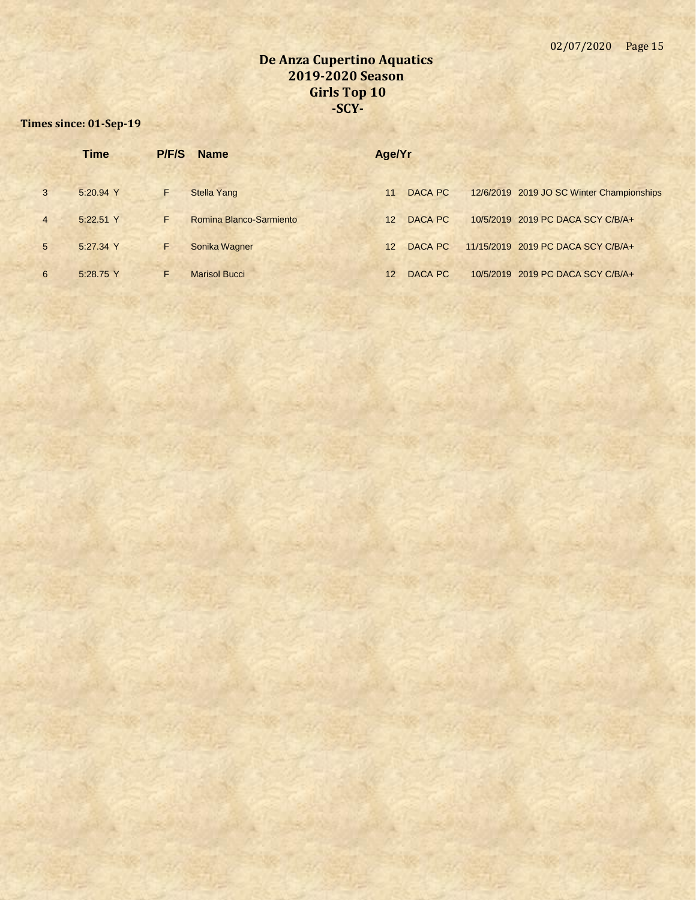|                | <b>Time</b> | P/F/S | <b>Name</b>             | Age/Yr |         |                                           |
|----------------|-------------|-------|-------------------------|--------|---------|-------------------------------------------|
| $\mathbf{3}$   | 5:20.94 Y   | F     | <b>Stella Yang</b>      | 11     | DACA PC | 12/6/2019 2019 JO SC Winter Championships |
| $\overline{4}$ | 5:22.51 Y   | F.    | Romina Blanco-Sarmiento | 12     | DACA PC | 10/5/2019 2019 PC DACA SCY C/B/A+         |
| 5              | 5:27.34 Y   | F     | Sonika Wagner           | 12     | DACA PC | 11/15/2019 2019 PC DACA SCY C/B/A+        |
| 6              | 5:28.75 Y   | F.    | <b>Marisol Bucci</b>    | 12     | DACA PC | 10/5/2019 2019 PC DACA SCY C/B/A+         |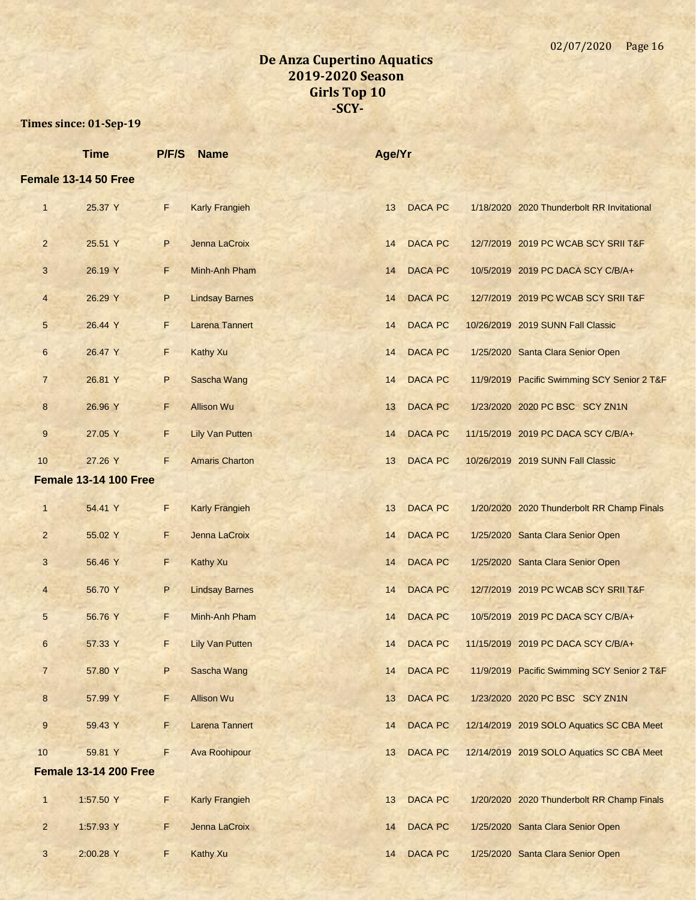|                | <b>Time</b>                  | P/F/S       | <b>Name</b>            | Age/Yr |                |                                             |
|----------------|------------------------------|-------------|------------------------|--------|----------------|---------------------------------------------|
|                | Female 13-14 50 Free         |             |                        |        |                |                                             |
| $\mathbf{1}$   | 25.37 Y                      | $\mathsf F$ | <b>Karly Frangieh</b>  | 13     | <b>DACA PC</b> | 1/18/2020 2020 Thunderbolt RR Invitational  |
| $\overline{2}$ | 25.51 Y                      | P           | Jenna LaCroix          | 14     | <b>DACA PC</b> | 12/7/2019 2019 PC WCAB SCY SRII T&F         |
| 3              | 26.19 Y                      | F           | Minh-Anh Pham          | 14     | <b>DACA PC</b> | 10/5/2019 2019 PC DACA SCY C/B/A+           |
| $\overline{4}$ | 26.29 Y                      | P           | <b>Lindsay Barnes</b>  | 14     | <b>DACA PC</b> | 12/7/2019 2019 PC WCAB SCY SRII T&F         |
| 5              | 26.44 Y                      | F           | <b>Larena Tannert</b>  | 14     | <b>DACA PC</b> | 10/26/2019 2019 SUNN Fall Classic           |
| 6              | 26.47 Y                      | F           | <b>Kathy Xu</b>        | 14     | <b>DACA PC</b> | 1/25/2020 Santa Clara Senior Open           |
| $\overline{7}$ | 26.81 Y                      | P           | Sascha Wang            | 14     | <b>DACA PC</b> | 11/9/2019 Pacific Swimming SCY Senior 2 T&F |
| 8              | 26.96 Y                      | F.          | <b>Allison Wu</b>      | 13     | <b>DACA PC</b> | 1/23/2020 2020 PC BSC SCY ZN1N              |
| 9              | 27.05 Y                      | F           | <b>Lily Van Putten</b> | 14     | <b>DACA PC</b> | 11/15/2019 2019 PC DACA SCY C/B/A+          |
| 10             | 27.26 Y                      | F           | <b>Amaris Charton</b>  | 13     | <b>DACA PC</b> | 10/26/2019 2019 SUNN Fall Classic           |
|                | <b>Female 13-14 100 Free</b> |             |                        |        |                |                                             |
| $\mathbf{1}$   | 54.41 Y                      | F           | <b>Karly Frangieh</b>  | 13     | <b>DACA PC</b> | 1/20/2020 2020 Thunderbolt RR Champ Finals  |
| $\overline{2}$ | 55.02 Y                      | F           | Jenna LaCroix          | 14     | <b>DACA PC</b> | 1/25/2020 Santa Clara Senior Open           |
| 3              | 56.46 Y                      | F           | <b>Kathy Xu</b>        | 14     | <b>DACA PC</b> | 1/25/2020 Santa Clara Senior Open           |
| $\overline{4}$ | 56.70 Y                      | P           | <b>Lindsay Barnes</b>  | 14     | <b>DACA PC</b> | 12/7/2019 2019 PC WCAB SCY SRII T&F         |
| 5              | 56.76 Y                      | F.          | Minh-Anh Pham          | 14     | <b>DACA PC</b> | 10/5/2019 2019 PC DACA SCY C/B/A+           |
| 6              | 57.33 Y                      | F           | <b>Lily Van Putten</b> | 14     | <b>DACA PC</b> | 11/15/2019 2019 PC DACA SCY C/B/A+          |
| $\overline{7}$ | 57.80 Y                      | P           | Sascha Wang            | 14     | <b>DACA PC</b> | 11/9/2019 Pacific Swimming SCY Senior 2 T&F |
| 8              | 57.99 Y                      | F           | <b>Allison Wu</b>      | 13     | <b>DACA PC</b> | 1/23/2020 2020 PC BSC SCY ZN1N              |
| 9              | 59.43 Y                      | F.          | <b>Larena Tannert</b>  | 14     | <b>DACA PC</b> | 12/14/2019 2019 SOLO Aquatics SC CBA Meet   |
| 10             | 59.81 Y                      | F           | <b>Ava Roohipour</b>   | 13     | <b>DACA PC</b> | 12/14/2019 2019 SOLO Aquatics SC CBA Meet   |
|                | <b>Female 13-14 200 Free</b> |             |                        |        |                |                                             |
| $\mathbf{1}$   | 1:57.50 Y                    | F           | <b>Karly Frangieh</b>  | 13     | <b>DACA PC</b> | 1/20/2020 2020 Thunderbolt RR Champ Finals  |
| $\overline{2}$ | 1:57.93 Y                    | F           | Jenna LaCroix          | 14     | <b>DACA PC</b> | 1/25/2020 Santa Clara Senior Open           |
| 3              | 2:00.28 Y                    | F           | <b>Kathy Xu</b>        | 14     | DACA PC        | 1/25/2020 Santa Clara Senior Open           |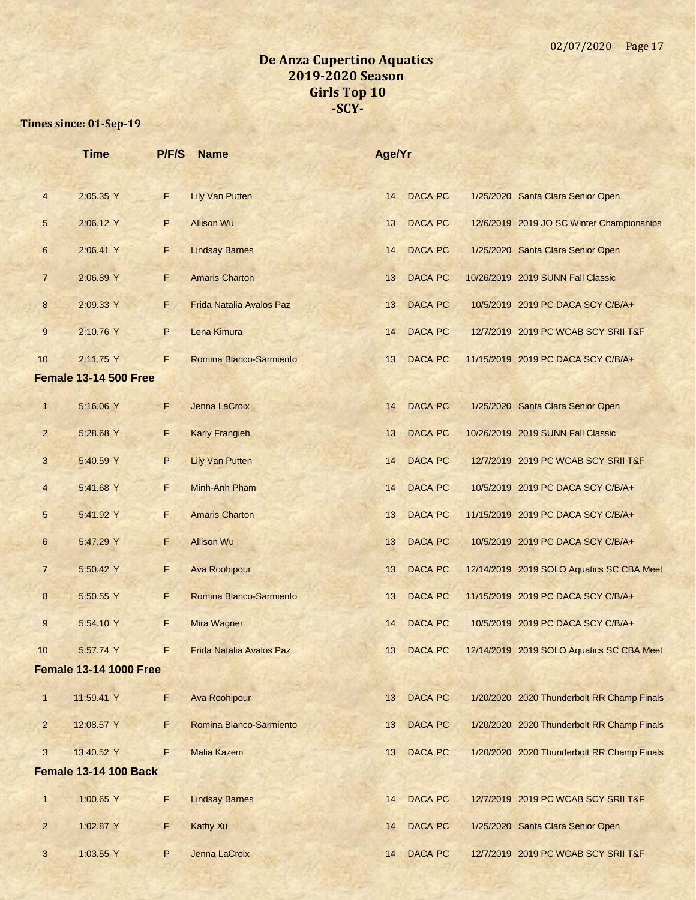|                | <b>Time</b>                   | P/F/S | <b>Name</b>                     | Age/Yr |                |                                            |
|----------------|-------------------------------|-------|---------------------------------|--------|----------------|--------------------------------------------|
| $\overline{4}$ | 2:05.35 Y                     | F     | <b>Lily Van Putten</b>          | 14     | <b>DACA PC</b> | 1/25/2020 Santa Clara Senior Open          |
| 5              | 2:06.12 Y                     | P     | <b>Allison Wu</b>               | 13     | <b>DACA PC</b> | 12/6/2019 2019 JO SC Winter Championships  |
| 6              | 2:06.41 Y                     | F     | <b>Lindsay Barnes</b>           | 14     | <b>DACA PC</b> | 1/25/2020 Santa Clara Senior Open          |
| $\overline{7}$ | 2:06.89 Y                     | F.    | <b>Amaris Charton</b>           | 13     | <b>DACA PC</b> | 10/26/2019 2019 SUNN Fall Classic          |
| 8              | 2:09.33 Y                     | F.    | <b>Frida Natalia Avalos Paz</b> | 13     | <b>DACA PC</b> | 10/5/2019 2019 PC DACA SCY C/B/A+          |
| 9              | 2:10.76 Y                     | P     | Lena Kimura                     | 14     | <b>DACA PC</b> | 12/7/2019 2019 PC WCAB SCY SRII T&F        |
| 10             | 2:11.75 Y                     | F     | Romina Blanco-Sarmiento         | 13     | <b>DACA PC</b> | 11/15/2019 2019 PC DACA SCY C/B/A+         |
|                | <b>Female 13-14 500 Free</b>  |       |                                 |        |                |                                            |
| $\mathbf{1}$   | 5:16.06 Y                     | F.    | Jenna LaCroix                   | 14     | <b>DACA PC</b> | 1/25/2020 Santa Clara Senior Open          |
| $\overline{2}$ | 5:28.68 Y                     | F     | <b>Karly Frangieh</b>           | 13     | <b>DACA PC</b> | 10/26/2019 2019 SUNN Fall Classic          |
| 3              | 5:40.59 Y                     | P     | <b>Lily Van Putten</b>          | 14     | <b>DACA PC</b> | 12/7/2019 2019 PC WCAB SCY SRII T&F        |
| $\overline{4}$ | 5:41.68 Y                     | F     | Minh-Anh Pham                   | 14     | <b>DACA PC</b> | 10/5/2019 2019 PC DACA SCY C/B/A+          |
| 5              | 5:41.92 Y                     | F.    | <b>Amaris Charton</b>           | 13     | <b>DACA PC</b> | 11/15/2019 2019 PC DACA SCY C/B/A+         |
| 6              | 5:47.29 Y                     | F     | <b>Allison Wu</b>               | 13     | <b>DACA PC</b> | 10/5/2019 2019 PC DACA SCY C/B/A+          |
| $\overline{7}$ | 5:50.42 Y                     | F     | <b>Ava Roohipour</b>            | 13     | <b>DACA PC</b> | 12/14/2019 2019 SOLO Aquatics SC CBA Meet  |
| 8              | 5:50.55 Y                     | F     | Romina Blanco-Sarmiento         | 13     | <b>DACA PC</b> | 11/15/2019 2019 PC DACA SCY C/B/A+         |
| 9              | 5:54.10 Y                     | F.    | Mira Wagner                     | 14     | <b>DACA PC</b> | 10/5/2019 2019 PC DACA SCY C/B/A+          |
| 10             | 5:57.74 Y                     | F     | <b>Frida Natalia Avalos Paz</b> | 13     | <b>DACA PC</b> | 12/14/2019 2019 SOLO Aquatics SC CBA Meet  |
|                | <b>Female 13-14 1000 Free</b> |       |                                 |        |                |                                            |
| $\mathbf{1}$   | 11:59.41 Y                    | F.    | Ava Roohipour                   | 13     | <b>DACA PC</b> | 1/20/2020 2020 Thunderbolt RR Champ Finals |
| $\overline{2}$ | 12:08.57 Y                    | F     | Romina Blanco-Sarmiento         | 13     | DACA PC        | 1/20/2020 2020 Thunderbolt RR Champ Finals |
| 3              | 13:40.52 Y                    | F     | <b>Malia Kazem</b>              | 13     | <b>DACA PC</b> | 1/20/2020 2020 Thunderbolt RR Champ Finals |
|                | <b>Female 13-14 100 Back</b>  |       |                                 |        |                |                                            |
| $\mathbf{1}$   | 1:00.65 Y                     | F     | <b>Lindsay Barnes</b>           | 14     | <b>DACA PC</b> | 12/7/2019 2019 PC WCAB SCY SRII T&F        |
| $\overline{a}$ | 1:02.87 Y                     | F.    | <b>Kathy Xu</b>                 | 14     | <b>DACA PC</b> | 1/25/2020 Santa Clara Senior Open          |
| 3              | 1:03.55 Y                     | P     | Jenna LaCroix                   | 14     | <b>DACA PC</b> | 12/7/2019 2019 PC WCAB SCY SRII T&F        |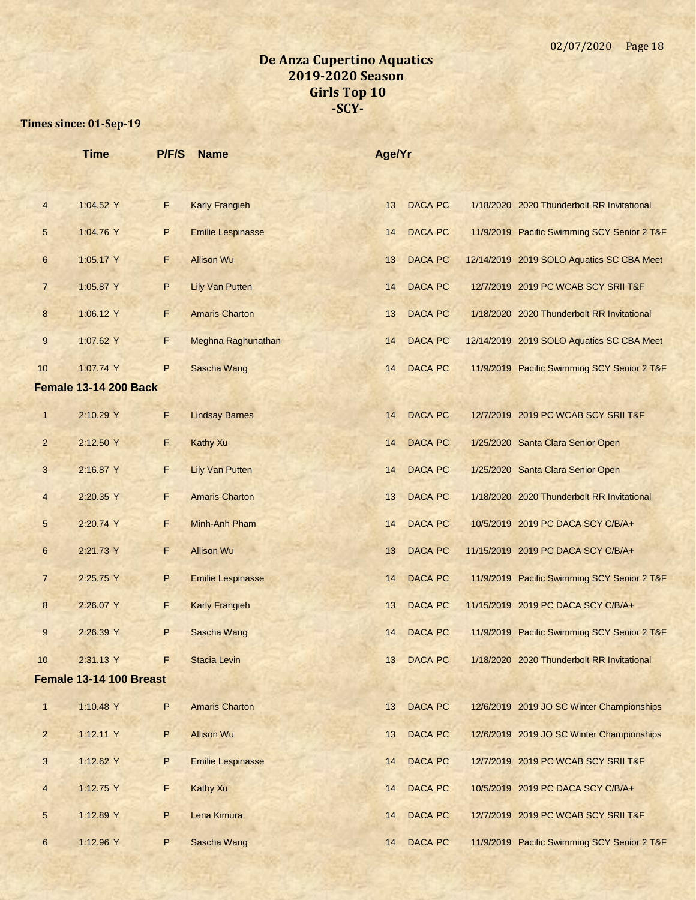|                | <b>Time</b>                  | P/F/S        | <b>Name</b>              | Age/Yr          |                |                                             |
|----------------|------------------------------|--------------|--------------------------|-----------------|----------------|---------------------------------------------|
|                |                              |              |                          |                 |                |                                             |
| $\overline{4}$ | 1:04.52 Y                    | F.           | <b>Karly Frangieh</b>    | 13              | <b>DACA PC</b> | 1/18/2020 2020 Thunderbolt RR Invitational  |
| 5              | 1:04.76 Y                    | P            | <b>Emilie Lespinasse</b> | 14              | <b>DACA PC</b> | 11/9/2019 Pacific Swimming SCY Senior 2 T&F |
| 6              | 1:05.17 Y                    | F.           | <b>Allison Wu</b>        | 13              | <b>DACA PC</b> | 12/14/2019 2019 SOLO Aquatics SC CBA Meet   |
| $\overline{7}$ | 1:05.87 Y                    | P            | <b>Lily Van Putten</b>   | 14              | <b>DACA PC</b> | 12/7/2019 2019 PC WCAB SCY SRII T&F         |
| 8              | 1:06.12 Y                    | F.           | <b>Amaris Charton</b>    | 13              | <b>DACA PC</b> | 1/18/2020 2020 Thunderbolt RR Invitational  |
| 9              | 1:07.62 Y                    | F.           | Meghna Raghunathan       | 14              | <b>DACA PC</b> | 12/14/2019 2019 SOLO Aquatics SC CBA Meet   |
| 10             | 1:07.74 Y                    | P            | <b>Sascha Wang</b>       | 14              | <b>DACA PC</b> | 11/9/2019 Pacific Swimming SCY Senior 2 T&F |
|                | <b>Female 13-14 200 Back</b> |              |                          |                 |                |                                             |
| $\mathbf{1}$   | 2:10.29 Y                    | F            | <b>Lindsay Barnes</b>    | 14              | <b>DACA PC</b> | 12/7/2019 2019 PC WCAB SCY SRII T&F         |
| $\overline{2}$ | 2:12.50 Y                    | E.           | <b>Kathy Xu</b>          | 14              | <b>DACA PC</b> | 1/25/2020 Santa Clara Senior Open           |
| 3              | 2:16.87 Y                    | F.           | <b>Lily Van Putten</b>   | 14              | <b>DACA PC</b> | 1/25/2020 Santa Clara Senior Open           |
| $\overline{4}$ | 2:20.35 Y                    | F.           | <b>Amaris Charton</b>    | 13              | <b>DACA PC</b> | 1/18/2020 2020 Thunderbolt RR Invitational  |
| 5              | 2:20.74 Y                    | F.           | Minh-Anh Pham            | 14              | <b>DACA PC</b> | 10/5/2019 2019 PC DACA SCY C/B/A+           |
| 6              | 2:21.73 Y                    | F            | <b>Allison Wu</b>        | 13              | <b>DACA PC</b> | 11/15/2019 2019 PC DACA SCY C/B/A+          |
| $\overline{7}$ | 2:25.75 Y                    | P            | <b>Emilie Lespinasse</b> | 14              | <b>DACA PC</b> | 11/9/2019 Pacific Swimming SCY Senior 2 T&F |
| 8              | 2:26.07 Y                    | F            | <b>Karly Frangieh</b>    | 13              | <b>DACA PC</b> | 11/15/2019 2019 PC DACA SCY C/B/A+          |
| 9              | 2:26.39 Y                    | P            | Sascha Wang              | 14              | <b>DACA PC</b> | 11/9/2019 Pacific Swimming SCY Senior 2 T&F |
|                | 2:31.13 Y                    | F            | <b>Stacia Levin</b>      | 13 <sup>°</sup> | <b>DACA PC</b> | 1/18/2020 2020 Thunderbolt RR Invitational  |
|                | Female 13-14 100 Breast      |              |                          |                 |                |                                             |
| $\mathbf{1}$   | 1:10.48 Y                    | $\sf P$      | <b>Amaris Charton</b>    | 13              | <b>DACA PC</b> | 12/6/2019 2019 JO SC Winter Championships   |
| $\overline{a}$ | 1:12.11 Y                    | $\sf P$      | <b>Allison Wu</b>        | 13              | DACA PC        | 12/6/2019 2019 JO SC Winter Championships   |
| 3              | 1:12.62 Y                    | $\sf P$      | <b>Emilie Lespinasse</b> | 14              | DACA PC        | 12/7/2019 2019 PC WCAB SCY SRII T&F         |
| $\overline{4}$ | 1:12.75 Y                    | F.           | <b>Kathy Xu</b>          | 14              | DACA PC        | 10/5/2019 2019 PC DACA SCY C/B/A+           |
| 5              | 1:12.89 Y                    | $\mathsf{P}$ | Lena Kimura              | 14              | DACA PC        | 12/7/2019 2019 PC WCAB SCY SRII T&F         |
| 6              | 1:12.96 Y                    | P            | Sascha Wang              | 14              | DACA PC        | 11/9/2019 Pacific Swimming SCY Senior 2 T&F |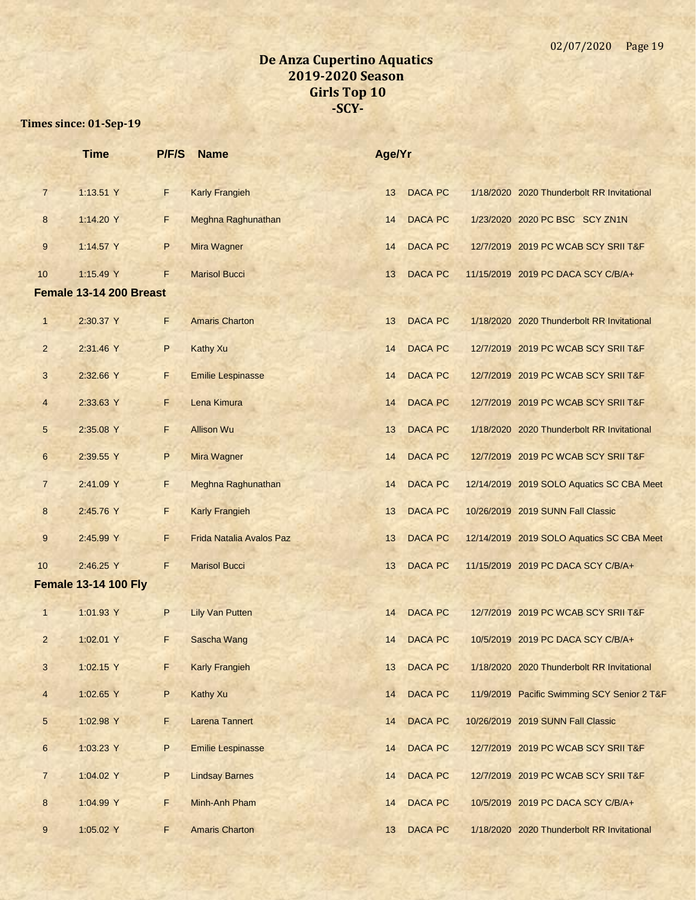|                 | <b>Time</b>                 | P/F/S | <b>Name</b>                     | Age/Yr |                |                                             |
|-----------------|-----------------------------|-------|---------------------------------|--------|----------------|---------------------------------------------|
| $\overline{7}$  | 1:13.51 Y                   | F     | <b>Karly Frangieh</b>           | 13     | <b>DACA PC</b> | 1/18/2020 2020 Thunderbolt RR Invitational  |
| 8               | 1:14.20 Y                   | F     | Meghna Raghunathan              | 14     | <b>DACA PC</b> | 1/23/2020 2020 PC BSC SCY ZN1N              |
| 9               | 1:14.57 Y                   | P     | Mira Wagner                     | 14     | <b>DACA PC</b> | 12/7/2019 2019 PC WCAB SCY SRII T&F         |
| 10              | 1:15.49 Y                   | F     | <b>Marisol Bucci</b>            | 13     | <b>DACA PC</b> | 11/15/2019 2019 PC DACA SCY C/B/A+          |
|                 | Female 13-14 200 Breast     |       |                                 |        |                |                                             |
| $\mathbf{1}$    | 2:30.37 Y                   | F.    | <b>Amaris Charton</b>           | 13     | <b>DACA PC</b> | 1/18/2020 2020 Thunderbolt RR Invitational  |
| $\overline{2}$  | 2:31.46 Y                   | P     | <b>Kathy Xu</b>                 | 14     | <b>DACA PC</b> | 12/7/2019 2019 PC WCAB SCY SRII T&F         |
| 3               | 2:32.66 Y                   | F     | <b>Emilie Lespinasse</b>        | 14     | <b>DACA PC</b> | 12/7/2019 2019 PC WCAB SCY SRII T&F         |
| $\overline{4}$  | 2:33.63 Y                   | F     | Lena Kimura                     | 14     | <b>DACA PC</b> | 12/7/2019 2019 PC WCAB SCY SRII T&F         |
| 5               | 2:35.08 Y                   | F     | <b>Allison Wu</b>               | 13     | <b>DACA PC</b> | 1/18/2020 2020 Thunderbolt RR Invitational  |
| $6\phantom{1}$  | 2:39.55 Y                   | P     | Mira Wagner                     | 14     | <b>DACA PC</b> | 12/7/2019 2019 PC WCAB SCY SRII T&F         |
| $\overline{7}$  | 2:41.09 Y                   | F     | Meghna Raghunathan              | 14     | <b>DACA PC</b> | 12/14/2019 2019 SOLO Aquatics SC CBA Meet   |
| 8               | 2:45.76 Y                   | F.    | <b>Karly Frangieh</b>           | 13     | <b>DACA PC</b> | 10/26/2019 2019 SUNN Fall Classic           |
| $9\,$           | 2:45.99 Y                   | F     | <b>Frida Natalia Avalos Paz</b> | 13     | <b>DACA PC</b> | 12/14/2019 2019 SOLO Aquatics SC CBA Meet   |
| 10              | 2:46.25 Y                   | F     | <b>Marisol Bucci</b>            | 13     | <b>DACA PC</b> | 11/15/2019 2019 PC DACA SCY C/B/A+          |
|                 | <b>Female 13-14 100 Fly</b> |       |                                 |        |                |                                             |
| 1               | 1:01.93 Y                   | P     | <b>Lily Van Putten</b>          | 14     | <b>DACA PC</b> | 12/7/2019 2019 PC WCAB SCY SRII T&F         |
| $\overline{2}$  | 1:02.01 Y                   | F     | Sascha Wang                     | 14     | <b>DACA PC</b> | 10/5/2019 2019 PC DACA SCY C/B/A+           |
| 3               | 1:02.15 Y                   | F     | <b>Karly Frangieh</b>           | 13     | <b>DACA PC</b> | 1/18/2020 2020 Thunderbolt RR Invitational  |
| $\overline{4}$  | 1:02.65 Y                   | P     | <b>Kathy Xu</b>                 | 14     | <b>DACA PC</b> | 11/9/2019 Pacific Swimming SCY Senior 2 T&F |
| $5\phantom{.0}$ | 1:02.98 Y                   | F.    | <b>Larena Tannert</b>           | 14     | <b>DACA PC</b> | 10/26/2019 2019 SUNN Fall Classic           |
| $6\phantom{.}$  | 1:03.23 Y                   | P     | <b>Emilie Lespinasse</b>        | 14     | <b>DACA PC</b> | 12/7/2019 2019 PC WCAB SCY SRII T&F         |
| $\overline{7}$  | 1:04.02 Y                   | P     | <b>Lindsay Barnes</b>           | 14     | <b>DACA PC</b> | 12/7/2019 2019 PC WCAB SCY SRII T&F         |
| 8               | 1:04.99 Y                   | F     | Minh-Anh Pham                   | 14     | <b>DACA PC</b> | 10/5/2019 2019 PC DACA SCY C/B/A+           |
| 9               | 1:05.02 Y                   | F     | <b>Amaris Charton</b>           | 13     | <b>DACA PC</b> | 1/18/2020 2020 Thunderbolt RR Invitational  |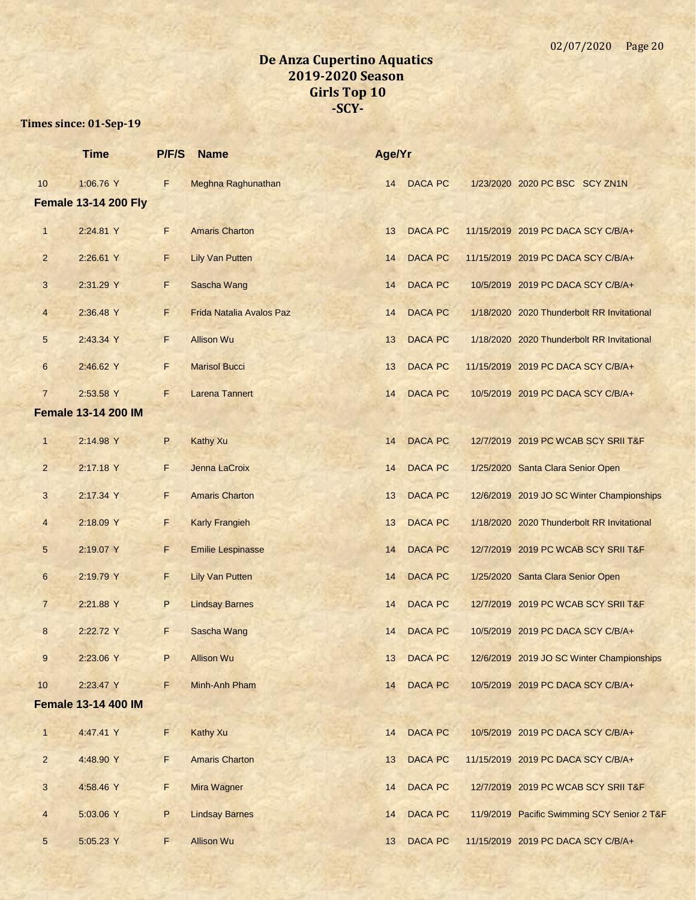|                | <b>Time</b>                 | P/F/S | <b>Name</b>                     | Age/Yr |                |                                             |
|----------------|-----------------------------|-------|---------------------------------|--------|----------------|---------------------------------------------|
| 10             | 1:06.76 Y                   | F     | Meghna Raghunathan              | 14     | <b>DACA PC</b> | 1/23/2020 2020 PC BSC SCY ZN1N              |
|                | <b>Female 13-14 200 Fly</b> |       |                                 |        |                |                                             |
| $\mathbf{1}$   | 2:24.81 Y                   | F     | <b>Amaris Charton</b>           | 13     | <b>DACA PC</b> | 11/15/2019 2019 PC DACA SCY C/B/A+          |
| $\overline{2}$ | 2:26.61 Y                   | F.    | <b>Lily Van Putten</b>          | 14     | <b>DACA PC</b> | 11/15/2019 2019 PC DACA SCY C/B/A+          |
| 3              | 2:31.29 Y                   | F     | Sascha Wang                     | 14     | <b>DACA PC</b> | 10/5/2019 2019 PC DACA SCY C/B/A+           |
| 4              | 2:36.48 Y                   | F     | <b>Frida Natalia Avalos Paz</b> | 14     | <b>DACA PC</b> | 1/18/2020 2020 Thunderbolt RR Invitational  |
| 5              | 2:43.34 Y                   | F.    | <b>Allison Wu</b>               | 13     | <b>DACA PC</b> | 1/18/2020 2020 Thunderbolt RR Invitational  |
| $6\phantom{.}$ | 2:46.62 Y                   | F     | <b>Marisol Bucci</b>            | 13     | <b>DACA PC</b> | 11/15/2019 2019 PC DACA SCY C/B/A+          |
| $\overline{7}$ | 2:53.58 Y                   | F     | <b>Larena Tannert</b>           | 14     | <b>DACA PC</b> | 10/5/2019 2019 PC DACA SCY C/B/A+           |
|                | <b>Female 13-14 200 IM</b>  |       |                                 |        |                |                                             |
| $\mathbf{1}$   | 2:14.98 Y                   | P     | <b>Kathy Xu</b>                 | 14     | <b>DACA PC</b> | 12/7/2019 2019 PC WCAB SCY SRII T&F         |
| $\overline{2}$ | 2:17.18 Y                   | F     | Jenna LaCroix                   | 14     | <b>DACA PC</b> | 1/25/2020 Santa Clara Senior Open           |
| 3              | 2:17.34 Y                   | F.    | <b>Amaris Charton</b>           | 13     | <b>DACA PC</b> | 12/6/2019 2019 JO SC Winter Championships   |
| 4              | 2:18.09 Y                   | F.    | <b>Karly Frangieh</b>           | 13     | <b>DACA PC</b> | 1/18/2020 2020 Thunderbolt RR Invitational  |
| 5              | 2:19.07 Y                   | F     | <b>Emilie Lespinasse</b>        | 14     | <b>DACA PC</b> | 12/7/2019 2019 PC WCAB SCY SRII T&F         |
| 6              | 2:19.79 Y                   | F     | <b>Lily Van Putten</b>          | 14     | <b>DACA PC</b> | 1/25/2020 Santa Clara Senior Open           |
| $\overline{7}$ | 2:21.88 Y                   | P     | <b>Lindsay Barnes</b>           | 14     | <b>DACA PC</b> | 12/7/2019 2019 PC WCAB SCY SRII T&F         |
| 8              | 2:22.72 Y                   | F     | Sascha Wang                     | 14     | <b>DACA PC</b> | 10/5/2019 2019 PC DACA SCY C/B/A+           |
| 9              | 2:23.06 Y                   | P     | <b>Allison Wu</b>               | 13     | <b>DACA PC</b> | 12/6/2019 2019 JO SC Winter Championships   |
| 10             | 2:23.47 Y                   | F     | Minh-Anh Pham                   | 14     | <b>DACA PC</b> | 10/5/2019 2019 PC DACA SCY C/B/A+           |
|                | <b>Female 13-14 400 IM</b>  |       |                                 |        |                |                                             |
| $\mathbf{1}$   | 4:47.41 Y                   | F     | <b>Kathy Xu</b>                 | 14     | <b>DACA PC</b> | 10/5/2019 2019 PC DACA SCY C/B/A+           |
| $\overline{2}$ | 4:48.90 Y                   | F.    | <b>Amaris Charton</b>           | 13     | <b>DACA PC</b> | 11/15/2019 2019 PC DACA SCY C/B/A+          |
| 3              | 4:58.46 Y                   | F     | Mira Wagner                     | 14     | <b>DACA PC</b> | 12/7/2019 2019 PC WCAB SCY SRII T&F         |
| $\overline{4}$ | 5:03.06 Y                   | P     | <b>Lindsay Barnes</b>           | 14     | <b>DACA PC</b> | 11/9/2019 Pacific Swimming SCY Senior 2 T&F |
| 5              | 5:05.23 Y                   | F     | <b>Allison Wu</b>               | 13     | <b>DACA PC</b> | 11/15/2019 2019 PC DACA SCY C/B/A+          |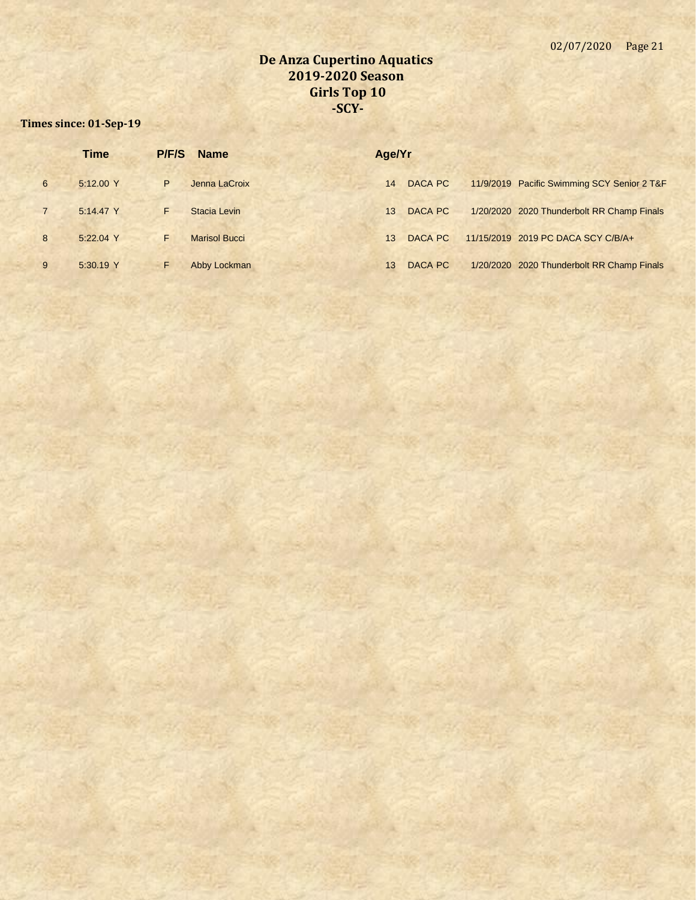|                | <b>Time</b> | P/F/S | <b>Name</b>          | Age/Yr |         |                                             |
|----------------|-------------|-------|----------------------|--------|---------|---------------------------------------------|
| 6              | 5:12.00 Y   | P     | Jenna LaCroix        | 14     | DACA PC | 11/9/2019 Pacific Swimming SCY Senior 2 T&F |
| $\overline{7}$ | 5:14.47 Y   |       | Stacia Levin         | 13     | DACA PC | 1/20/2020 2020 Thunderbolt RR Champ Finals  |
| 8              | $5:22.04$ Y | F     | <b>Marisol Bucci</b> | 13     | DACA PC | 11/15/2019 2019 PC DACA SCY C/B/A+          |
| 9              | 5:30.19 Y   | F     | Abby Lockman         | 13     | DACA PC | 1/20/2020 2020 Thunderbolt RR Champ Finals  |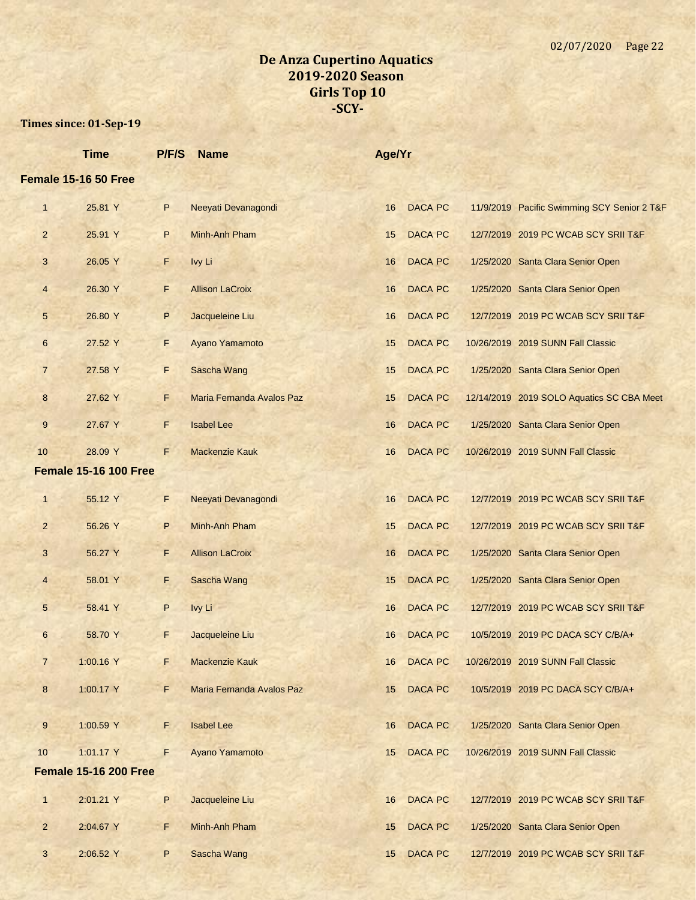|                | <b>Time</b>                  | P/F/S | <b>Name</b>               | Age/Yr |                |                                             |
|----------------|------------------------------|-------|---------------------------|--------|----------------|---------------------------------------------|
|                | Female 15-16 50 Free         |       |                           |        |                |                                             |
| $\mathbf{1}$   | 25.81 Y                      | P     | Neeyati Devanagondi       | 16     | <b>DACA PC</b> | 11/9/2019 Pacific Swimming SCY Senior 2 T&F |
| $\overline{2}$ | 25.91 Y                      | P     | Minh-Anh Pham             | 15     | <b>DACA PC</b> | 12/7/2019 2019 PC WCAB SCY SRII T&F         |
| 3              | 26.05 Y                      | F     | Ivy Li                    | 16     | <b>DACA PC</b> | 1/25/2020 Santa Clara Senior Open           |
| 4              | 26.30 Y                      | F     | <b>Allison LaCroix</b>    | 16     | <b>DACA PC</b> | 1/25/2020 Santa Clara Senior Open           |
| 5              | 26.80 Y                      | P     | Jacqueleine Liu           | 16     | <b>DACA PC</b> | 12/7/2019 2019 PC WCAB SCY SRII T&F         |
| 6              | 27.52 Y                      | F.    | Ayano Yamamoto            | 15     | <b>DACA PC</b> | 10/26/2019 2019 SUNN Fall Classic           |
| $\overline{7}$ | 27.58 Y                      | F     | <b>Sascha Wang</b>        | 15     | <b>DACA PC</b> | 1/25/2020 Santa Clara Senior Open           |
| 8              | 27.62 Y                      | F     | Maria Fernanda Avalos Paz | 15     | <b>DACA PC</b> | 12/14/2019 2019 SOLO Aquatics SC CBA Meet   |
| 9              | 27.67 Y                      | F     | <b>Isabel Lee</b>         | 16     | <b>DACA PC</b> | 1/25/2020 Santa Clara Senior Open           |
| 10             | 28.09 Y                      | F     | <b>Mackenzie Kauk</b>     | 16     | <b>DACA PC</b> | 10/26/2019 2019 SUNN Fall Classic           |
|                | <b>Female 15-16 100 Free</b> |       |                           |        |                |                                             |
| $\mathbf{1}$   | 55.12 Y                      | F.    | Neeyati Devanagondi       | 16     | <b>DACA PC</b> | 12/7/2019 2019 PC WCAB SCY SRII T&F         |
| $\overline{2}$ | 56.26 Y                      | P     | Minh-Anh Pham             | 15     | <b>DACA PC</b> | 12/7/2019 2019 PC WCAB SCY SRII T&F         |
| 3              | 56.27 Y                      | F     | <b>Allison LaCroix</b>    | 16     | <b>DACA PC</b> | 1/25/2020 Santa Clara Senior Open           |
| 4              | 58.01 Y                      | F.    | Sascha Wang               | 15     | <b>DACA PC</b> | 1/25/2020 Santa Clara Senior Open           |
| 5              | 58.41 Y                      | P     | Ivy Li                    | 16     | <b>DACA PC</b> | 12/7/2019 2019 PC WCAB SCY SRII T&F         |
| 6              | 58.70 Y                      | F.    | Jacqueleine Liu           | 16     | <b>DACA PC</b> | 10/5/2019 2019 PC DACA SCY C/B/A+           |
| 7              | 1:00.16 Y                    | F.    | Mackenzie Kauk            | 16     | <b>DACA PC</b> | 10/26/2019 2019 SUNN Fall Classic           |
| 8              | 1:00.17 Y                    | F     | Maria Fernanda Avalos Paz | 15     | <b>DACA PC</b> | 10/5/2019 2019 PC DACA SCY C/B/A+           |
| 9              | 1:00.59 Y                    | F     | <b>Isabel Lee</b>         | 16     | <b>DACA PC</b> | 1/25/2020 Santa Clara Senior Open           |
| 10             | 1:01.17 Y                    | F     | Ayano Yamamoto            | 15     | <b>DACA PC</b> | 10/26/2019 2019 SUNN Fall Classic           |
|                | <b>Female 15-16 200 Free</b> |       |                           |        |                |                                             |
|                |                              |       |                           |        |                |                                             |
| $\mathbf{1}$   | 2:01.21 Y                    | P     | Jacqueleine Liu           | 16     | <b>DACA PC</b> | 12/7/2019 2019 PC WCAB SCY SRII T&F         |
| $\overline{2}$ | 2:04.67 Y                    | F.    | Minh-Anh Pham             | 15     | <b>DACA PC</b> | 1/25/2020 Santa Clara Senior Open           |
| 3              | 2:06.52 Y                    | P     | Sascha Wang               | 15     | <b>DACA PC</b> | 12/7/2019 2019 PC WCAB SCY SRII T&F         |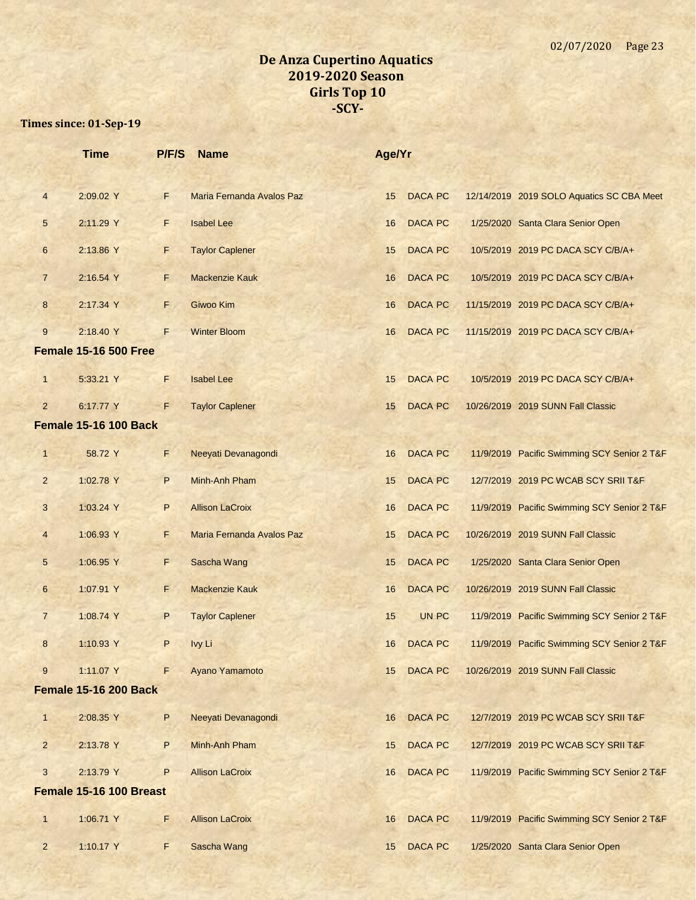|                  | <b>Time</b>                  | P/F/S | <b>Name</b>               | Age/Yr |                |                                             |
|------------------|------------------------------|-------|---------------------------|--------|----------------|---------------------------------------------|
|                  |                              |       |                           |        |                |                                             |
| $\overline{4}$   | 2:09.02 Y                    | F     | Maria Fernanda Avalos Paz | 15     | <b>DACA PC</b> | 12/14/2019 2019 SOLO Aquatics SC CBA Meet   |
| 5                | 2:11.29 Y                    | F     | <b>Isabel Lee</b>         | 16     | <b>DACA PC</b> | 1/25/2020 Santa Clara Senior Open           |
| 6                | 2:13.86 Y                    | F     | <b>Taylor Caplener</b>    | 15     | <b>DACA PC</b> | 10/5/2019 2019 PC DACA SCY C/B/A+           |
| $\overline{7}$   | 2:16.54 Y                    | F.    | <b>Mackenzie Kauk</b>     | 16     | <b>DACA PC</b> | 10/5/2019 2019 PC DACA SCY C/B/A+           |
| $\bf 8$          | 2:17.34 Y                    | F.    | Giwoo Kim                 | 16     | <b>DACA PC</b> | 11/15/2019 2019 PC DACA SCY C/B/A+          |
| 9                | 2:18.40 Y                    | F     | <b>Winter Bloom</b>       | 16     | <b>DACA PC</b> | 11/15/2019 2019 PC DACA SCY C/B/A+          |
|                  | <b>Female 15-16 500 Free</b> |       |                           |        |                |                                             |
| $\mathbf{1}$     | 5:33.21 Y                    | F     | <b>Isabel Lee</b>         | 15     | <b>DACA PC</b> | 10/5/2019 2019 PC DACA SCY C/B/A+           |
| $\overline{2}$   | 6:17.77 Y                    | F     | <b>Taylor Caplener</b>    | 15     | <b>DACA PC</b> | 10/26/2019 2019 SUNN Fall Classic           |
|                  | <b>Female 15-16 100 Back</b> |       |                           |        |                |                                             |
| $\mathbf{1}$     | 58.72 Y                      | F     | Neeyati Devanagondi       | 16     | <b>DACA PC</b> | 11/9/2019 Pacific Swimming SCY Senior 2 T&F |
| $\overline{2}$   | 1:02.78 Y                    | P     | Minh-Anh Pham             | 15     | <b>DACA PC</b> | 12/7/2019 2019 PC WCAB SCY SRII T&F         |
| 3                | 1:03.24 Y                    | P     | <b>Allison LaCroix</b>    | 16     | <b>DACA PC</b> | 11/9/2019 Pacific Swimming SCY Senior 2 T&F |
| $\overline{4}$   | 1:06.93 Y                    | F     | Maria Fernanda Avalos Paz | 15     | <b>DACA PC</b> | 10/26/2019 2019 SUNN Fall Classic           |
| 5                | 1:06.95 Y                    | F     | Sascha Wang               | 15     | <b>DACA PC</b> | 1/25/2020 Santa Clara Senior Open           |
| $6\phantom{.}6$  | 1:07.91 Y                    | F.    | <b>Mackenzie Kauk</b>     | 16     | <b>DACA PC</b> | 10/26/2019 2019 SUNN Fall Classic           |
| $\overline{7}$   | 1:08.74 Y                    | P     | <b>Taylor Caplener</b>    | 15     | UN PC          | 11/9/2019 Pacific Swimming SCY Senior 2 T&F |
| $\boldsymbol{8}$ | 1:10.93 Y                    | P     | Ivy Li                    | 16     | <b>DACA PC</b> | 11/9/2019 Pacific Swimming SCY Senior 2 T&F |
| 9                | 1:11.07 Y                    | F     | Ayano Yamamoto            | 15     | DACA PC        | 10/26/2019 2019 SUNN Fall Classic           |
|                  | <b>Female 15-16 200 Back</b> |       |                           |        |                |                                             |
| $\mathbf{1}$     | 2:08.35 Y                    | P     | Neeyati Devanagondi       | 16     | <b>DACA PC</b> | 12/7/2019 2019 PC WCAB SCY SRII T&F         |
| $\overline{c}$   | 2:13.78 Y                    | P     | Minh-Anh Pham             | 15     | <b>DACA PC</b> | 12/7/2019 2019 PC WCAB SCY SRII T&F         |
| 3                | 2:13.79 Y                    | P     | <b>Allison LaCroix</b>    | 16     | DACA PC        | 11/9/2019 Pacific Swimming SCY Senior 2 T&F |
|                  | Female 15-16 100 Breast      |       |                           |        |                |                                             |
| $\mathbf{1}$     | 1:06.71 Y                    | F.    | <b>Allison LaCroix</b>    | 16     | <b>DACA PC</b> | 11/9/2019 Pacific Swimming SCY Senior 2 T&F |
| $\overline{2}$   | 1:10.17 Y                    | F.    | Sascha Wang               | 15     | <b>DACA PC</b> | 1/25/2020 Santa Clara Senior Open           |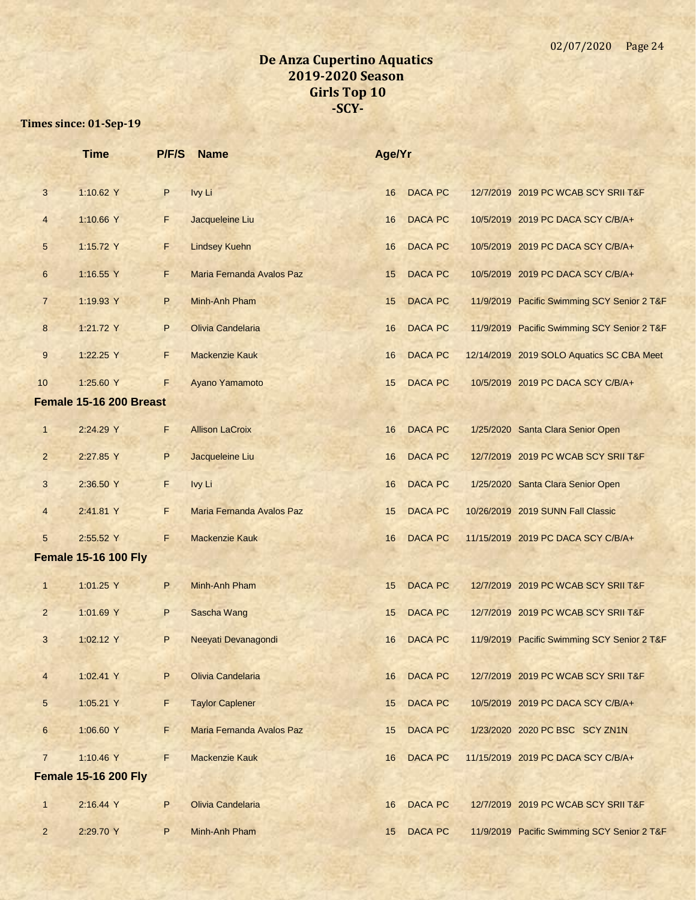|                | <b>Time</b>                 | P/F/S | <b>Name</b>               | Age/Yr |                |                                             |
|----------------|-----------------------------|-------|---------------------------|--------|----------------|---------------------------------------------|
| 3              | 1:10.62 Y                   | P     | Ivy Li                    | 16     | <b>DACA PC</b> | 12/7/2019 2019 PC WCAB SCY SRII T&F         |
| $\overline{4}$ | 1:10.66 Y                   | F     | Jacqueleine Liu           | 16     | <b>DACA PC</b> | 10/5/2019 2019 PC DACA SCY C/B/A+           |
| 5              | 1:15.72 Y                   | F     | <b>Lindsey Kuehn</b>      | 16     | <b>DACA PC</b> | 10/5/2019 2019 PC DACA SCY C/B/A+           |
| 6              | 1:16.55 Y                   | F.    | Maria Fernanda Avalos Paz | 15     | <b>DACA PC</b> | 10/5/2019 2019 PC DACA SCY C/B/A+           |
| $\overline{7}$ | 1:19.93 Y                   | P     | Minh-Anh Pham             | 15     | <b>DACA PC</b> | 11/9/2019 Pacific Swimming SCY Senior 2 T&F |
| 8              | 1:21.72 Y                   | P     | Olivia Candelaria         | 16     | <b>DACA PC</b> | 11/9/2019 Pacific Swimming SCY Senior 2 T&F |
| $9\,$          | 1:22.25 Y                   | F     | <b>Mackenzie Kauk</b>     | 16     | <b>DACA PC</b> | 12/14/2019 2019 SOLO Aquatics SC CBA Meet   |
| 10             | 1:25.60 Y                   | F.    | Ayano Yamamoto            | 15     | <b>DACA PC</b> | 10/5/2019 2019 PC DACA SCY C/B/A+           |
|                | Female 15-16 200 Breast     |       |                           |        |                |                                             |
| $\mathbf{1}$   | 2:24.29 Y                   | F     | <b>Allison LaCroix</b>    | 16     | <b>DACA PC</b> | 1/25/2020 Santa Clara Senior Open           |
| $\overline{2}$ | 2:27.85 Y                   | P     | Jacqueleine Liu           | 16     | <b>DACA PC</b> | 12/7/2019 2019 PC WCAB SCY SRII T&F         |
| 3              | 2:36.50 Y                   | F     | Ivy Li                    | 16     | <b>DACA PC</b> | 1/25/2020 Santa Clara Senior Open           |
| $\overline{4}$ | 2:41.81 Y                   | F.    | Maria Fernanda Avalos Paz | 15     | DACA PC        | 10/26/2019 2019 SUNN Fall Classic           |
| 5              | 2:55.52 Y                   | F.    | <b>Mackenzie Kauk</b>     | 16     | <b>DACA PC</b> | 11/15/2019 2019 PC DACA SCY C/B/A+          |
|                | <b>Female 15-16 100 Fly</b> |       |                           |        |                |                                             |
| $\mathbf{1}$   | 1:01.25 Y                   | P     | Minh-Anh Pham             | 15     | <b>DACA PC</b> | 12/7/2019 2019 PC WCAB SCY SRII T&F         |
| $\overline{2}$ | 1:01.69 Y                   | P     | Sascha Wang               | 15     | <b>DACA PC</b> | 12/7/2019 2019 PC WCAB SCY SRII T&F         |
| 3              | 1:02.12 Y                   | P     | Neeyati Devanagondi       | 16     | <b>DACA PC</b> | 11/9/2019 Pacific Swimming SCY Senior 2 T&F |
| 4              | 1:02.41 Y                   | P     | Olivia Candelaria         | 16     | <b>DACA PC</b> | 12/7/2019 2019 PC WCAB SCY SRII T&F         |
| 5              | 1:05.21 Y                   | F     | <b>Taylor Caplener</b>    | 15     | <b>DACA PC</b> | 10/5/2019 2019 PC DACA SCY C/B/A+           |
| 6              | 1:06.60 Y                   | F.    | Maria Fernanda Avalos Paz | 15     | <b>DACA PC</b> | 1/23/2020 2020 PC BSC SCY ZN1N              |
| $\overline{7}$ | 1:10.46 Y                   | F.    | <b>Mackenzie Kauk</b>     | 16     | <b>DACA PC</b> | 11/15/2019 2019 PC DACA SCY C/B/A+          |
|                | <b>Female 15-16 200 Fly</b> |       |                           |        |                |                                             |
| $\mathbf{1}$   | 2:16.44 Y                   | P     | Olivia Candelaria         | 16     | <b>DACA PC</b> | 12/7/2019 2019 PC WCAB SCY SRII T&F         |
| $\overline{2}$ | 2:29.70 Y                   | P     | Minh-Anh Pham             | 15     | DACA PC        | 11/9/2019 Pacific Swimming SCY Senior 2 T&F |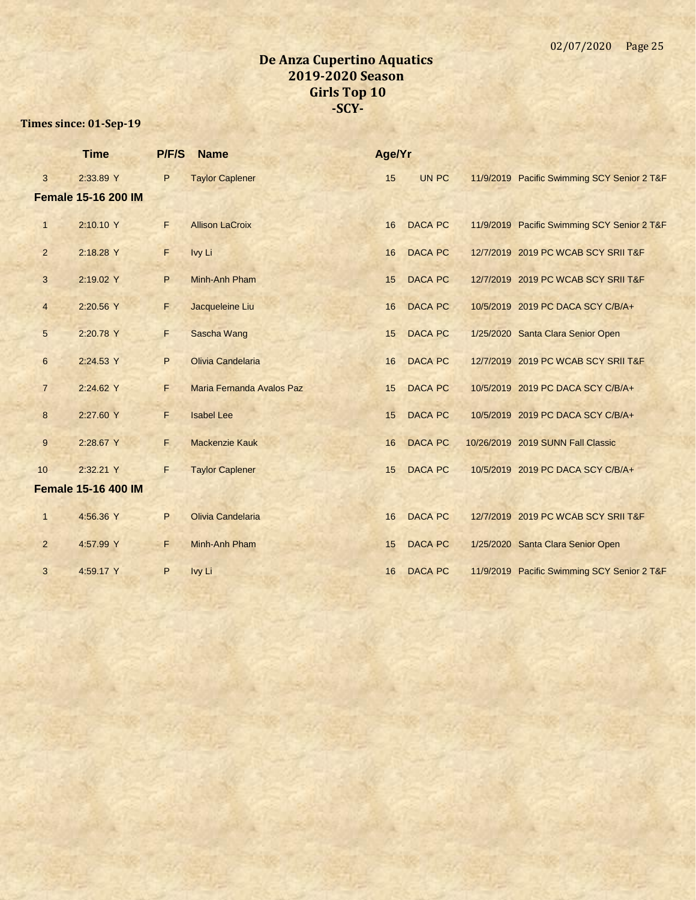|                 | <b>Time</b>                | P/F/S | <b>Name</b>               | Age/Yr |                |  |                                             |
|-----------------|----------------------------|-------|---------------------------|--------|----------------|--|---------------------------------------------|
| 3               | 2:33.89 Y                  | P     | <b>Taylor Caplener</b>    | 15     | UN PC          |  | 11/9/2019 Pacific Swimming SCY Senior 2 T&F |
|                 | <b>Female 15-16 200 IM</b> |       |                           |        |                |  |                                             |
| $\mathbf{1}$    | 2:10.10 Y                  | F     | <b>Allison LaCroix</b>    | 16     | <b>DACA PC</b> |  | 11/9/2019 Pacific Swimming SCY Senior 2 T&F |
| $\overline{2}$  | 2:18.28 Y                  | F     | Ivy Li                    | 16     | <b>DACA PC</b> |  | 12/7/2019 2019 PC WCAB SCY SRII T&F         |
| 3               | 2:19.02 Y                  | P     | Minh-Anh Pham             | 15     | <b>DACA PC</b> |  | 12/7/2019 2019 PC WCAB SCY SRII T&F         |
| $\overline{4}$  | 2:20.56 Y                  | F.    | Jacqueleine Liu           | 16     | <b>DACA PC</b> |  | 10/5/2019 2019 PC DACA SCY C/B/A+           |
| $5\overline{)}$ | 2:20.78 Y                  | F     | Sascha Wang               | 15     | <b>DACA PC</b> |  | 1/25/2020 Santa Clara Senior Open           |
| 6               | 2:24.53 Y                  | P     | Olivia Candelaria         | 16     | <b>DACA PC</b> |  | 12/7/2019 2019 PC WCAB SCY SRII T&F         |
| $\overline{7}$  | 2:24.62 Y                  | F.    | Maria Fernanda Avalos Paz | 15     | <b>DACA PC</b> |  | 10/5/2019 2019 PC DACA SCY C/B/A+           |
| 8               | 2:27.60 Y                  | F     | <b>Isabel Lee</b>         | 15     | <b>DACA PC</b> |  | 10/5/2019 2019 PC DACA SCY C/B/A+           |
| $9\,$           | 2:28.67 Y                  | F.    | <b>Mackenzie Kauk</b>     | 16     | <b>DACA PC</b> |  | 10/26/2019 2019 SUNN Fall Classic           |
| 10              | 2:32.21 Y                  | F.    | <b>Taylor Caplener</b>    | 15     | <b>DACA PC</b> |  | 10/5/2019 2019 PC DACA SCY C/B/A+           |
|                 | <b>Female 15-16 400 IM</b> |       |                           |        |                |  |                                             |
| $\mathbf{1}$    | 4:56.36 Y                  | P     | Olivia Candelaria         | 16     | <b>DACA PC</b> |  | 12/7/2019 2019 PC WCAB SCY SRII T&F         |
| $\overline{2}$  | 4:57.99 Y                  | F     | Minh-Anh Pham             | 15     | <b>DACA PC</b> |  | 1/25/2020 Santa Clara Senior Open           |
| 3               | 4:59.17 Y                  | P     | Ivy Li                    | 16     | <b>DACA PC</b> |  | 11/9/2019 Pacific Swimming SCY Senior 2 T&F |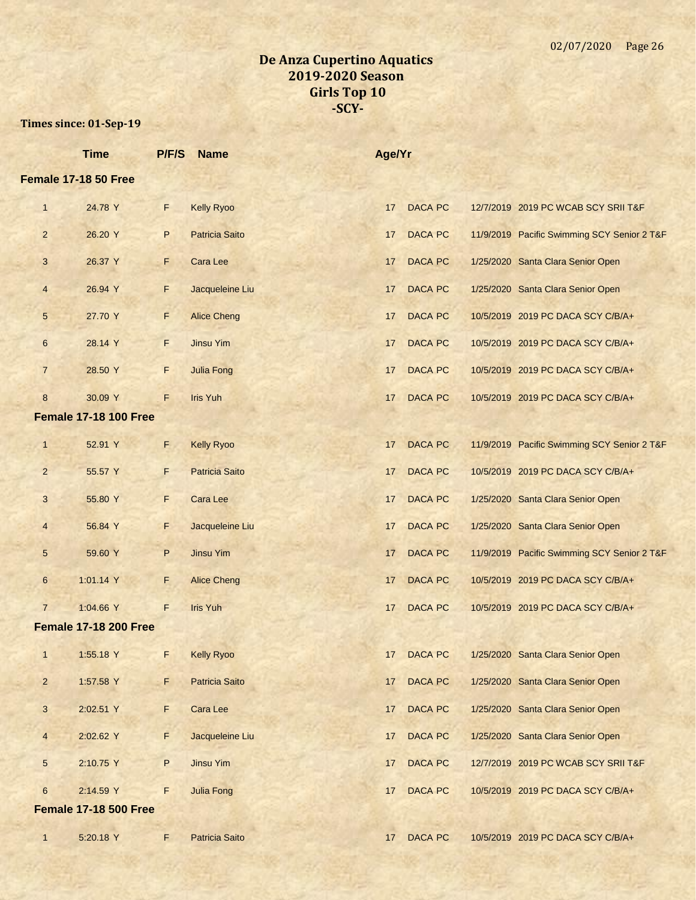|                | <b>Time</b>                  | P/F/S | <b>Name</b>           | Age/Yr |                |                                             |
|----------------|------------------------------|-------|-----------------------|--------|----------------|---------------------------------------------|
|                | Female 17-18 50 Free         |       |                       |        |                |                                             |
| $\mathbf{1}$   | 24.78 Y                      | F.    | <b>Kelly Ryoo</b>     | 17     | <b>DACA PC</b> | 12/7/2019 2019 PC WCAB SCY SRII T&F         |
| $\overline{2}$ | 26.20 Y                      | P     | <b>Patricia Saito</b> | 17     | <b>DACA PC</b> | 11/9/2019 Pacific Swimming SCY Senior 2 T&F |
| 3              | 26.37 Y                      | F.    | Cara Lee              | 17     | <b>DACA PC</b> | 1/25/2020 Santa Clara Senior Open           |
| 4              | 26.94 Y                      | F     | Jacqueleine Liu       | 17     | <b>DACA PC</b> | 1/25/2020 Santa Clara Senior Open           |
| 5              | 27.70 Y                      | F     | <b>Alice Cheng</b>    | 17     | <b>DACA PC</b> | 10/5/2019 2019 PC DACA SCY C/B/A+           |
| 6              | 28.14 Y                      | F.    | <b>Jinsu Yim</b>      | 17     | <b>DACA PC</b> | 10/5/2019 2019 PC DACA SCY C/B/A+           |
| $\overline{7}$ | 28.50 Y                      | F     | <b>Julia Fong</b>     | 17     | <b>DACA PC</b> | 10/5/2019 2019 PC DACA SCY C/B/A+           |
| 8              | 30.09 Y                      | F.    | <b>Iris Yuh</b>       | 17     | <b>DACA PC</b> | 10/5/2019 2019 PC DACA SCY C/B/A+           |
|                | <b>Female 17-18 100 Free</b> |       |                       |        |                |                                             |
| $\mathbf{1}$   | 52.91 Y                      | F.    | <b>Kelly Ryoo</b>     | 17     | <b>DACA PC</b> | 11/9/2019 Pacific Swimming SCY Senior 2 T&F |
| $\overline{2}$ | 55.57 Y                      | F.    | <b>Patricia Saito</b> | 17     | <b>DACA PC</b> | 10/5/2019 2019 PC DACA SCY C/B/A+           |
| 3              | 55.80 Y                      | F     | <b>Cara Lee</b>       | 17     | <b>DACA PC</b> | 1/25/2020 Santa Clara Senior Open           |
| 4              | 56.84 Y                      | F.    | Jacqueleine Liu       | 17     | <b>DACA PC</b> | 1/25/2020 Santa Clara Senior Open           |
| 5              | 59.60 Y                      | P     | <b>Jinsu Yim</b>      | 17     | <b>DACA PC</b> | 11/9/2019 Pacific Swimming SCY Senior 2 T&F |
| 6              | 1:01.14 Y                    | E     | <b>Alice Cheng</b>    | 17     | <b>DACA PC</b> | 10/5/2019 2019 PC DACA SCY C/B/A+           |
| $\overline{7}$ | 1:04.66 Y                    | F     | <b>Iris Yuh</b>       | 17     | <b>DACA PC</b> | 10/5/2019 2019 PC DACA SCY C/B/A+           |
|                | <b>Female 17-18 200 Free</b> |       |                       |        |                |                                             |
| $\mathbf{1}$   | 1:55.18 Y                    | F     | <b>Kelly Ryoo</b>     | 17     | <b>DACA PC</b> | 1/25/2020 Santa Clara Senior Open           |
| $\overline{2}$ | 1:57.58 Y                    | F     | <b>Patricia Saito</b> | 17     | <b>DACA PC</b> | 1/25/2020 Santa Clara Senior Open           |
| 3              | 2:02.51 Y                    | F.    | Cara Lee              | 17     | <b>DACA PC</b> | 1/25/2020 Santa Clara Senior Open           |
| $\overline{4}$ | 2:02.62 Y                    | F     | Jacqueleine Liu       | 17     | <b>DACA PC</b> | 1/25/2020 Santa Clara Senior Open           |
| 5              | 2:10.75 Y                    | P     | <b>Jinsu Yim</b>      | 17     | <b>DACA PC</b> | 12/7/2019 2019 PC WCAB SCY SRII T&F         |
| $6\phantom{1}$ | 2:14.59 Y                    | F     | <b>Julia Fong</b>     | 17     | <b>DACA PC</b> | 10/5/2019 2019 PC DACA SCY C/B/A+           |
|                | <b>Female 17-18 500 Free</b> |       |                       |        |                |                                             |
| $\mathbf{1}$   | 5:20.18 Y                    | F.    | <b>Patricia Saito</b> | 17     | <b>DACA PC</b> | 10/5/2019 2019 PC DACA SCY C/B/A+           |
|                |                              |       |                       |        |                |                                             |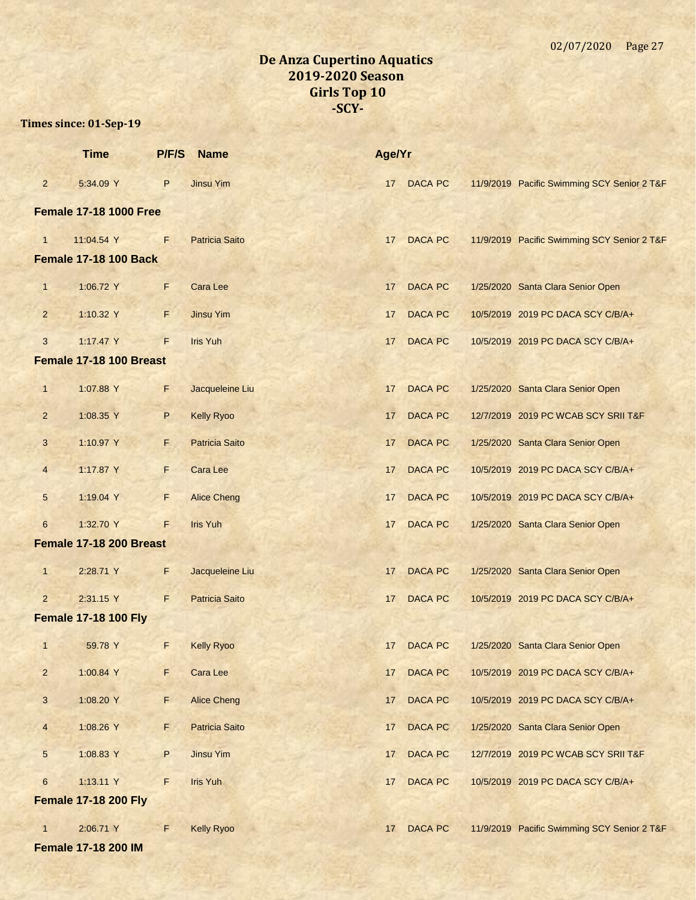|                               | <b>Time</b>                  | P/F/S       | <b>Name</b>           | Age/Yr |                |  |                                             |  |
|-------------------------------|------------------------------|-------------|-----------------------|--------|----------------|--|---------------------------------------------|--|
| $\overline{2}$                | 5:34.09 Y                    | P           | <b>Jinsu Yim</b>      | 17     | <b>DACA PC</b> |  | 11/9/2019 Pacific Swimming SCY Senior 2 T&F |  |
| <b>Female 17-18 1000 Free</b> |                              |             |                       |        |                |  |                                             |  |
| $\mathbf{1}$                  | 11:04.54 Y                   | F           | <b>Patricia Saito</b> | 17     | <b>DACA PC</b> |  | 11/9/2019 Pacific Swimming SCY Senior 2 T&F |  |
|                               | <b>Female 17-18 100 Back</b> |             |                       |        |                |  |                                             |  |
| $\mathbf{1}$                  | 1:06.72 Y                    | F           | <b>Cara Lee</b>       | 17     | <b>DACA PC</b> |  | 1/25/2020 Santa Clara Senior Open           |  |
| $\overline{2}$                | 1:10.32 Y                    | F           | <b>Jinsu Yim</b>      | 17     | <b>DACA PC</b> |  | 10/5/2019 2019 PC DACA SCY C/B/A+           |  |
| 3                             | 1:17.47 Y                    | F           | <b>Iris Yuh</b>       | 17     | <b>DACA PC</b> |  | 10/5/2019 2019 PC DACA SCY C/B/A+           |  |
|                               | Female 17-18 100 Breast      |             |                       |        |                |  |                                             |  |
| $\mathbf{1}$                  | 1:07.88 Y                    | F.          | Jacqueleine Liu       | 17     | <b>DACA PC</b> |  | 1/25/2020 Santa Clara Senior Open           |  |
| $\overline{2}$                | 1:08.35 Y                    | P           | <b>Kelly Ryoo</b>     | 17     | <b>DACA PC</b> |  | 12/7/2019 2019 PC WCAB SCY SRII T&F         |  |
| 3                             | 1:10.97 Y                    | F.          | <b>Patricia Saito</b> | 17     | <b>DACA PC</b> |  | 1/25/2020 Santa Clara Senior Open           |  |
| $\overline{4}$                | 1:17.87 Y                    | F.          | Cara Lee              | 17     | <b>DACA PC</b> |  | 10/5/2019 2019 PC DACA SCY C/B/A+           |  |
| 5                             | 1:19.04 Y                    | F           | <b>Alice Cheng</b>    | 17     | <b>DACA PC</b> |  | 10/5/2019 2019 PC DACA SCY C/B/A+           |  |
| $6\phantom{.}$                | 1:32.70 Y                    | F.          | <b>Iris Yuh</b>       | 17     | <b>DACA PC</b> |  | 1/25/2020 Santa Clara Senior Open           |  |
|                               | Female 17-18 200 Breast      |             |                       |        |                |  |                                             |  |
| $\mathbf{1}$                  | 2:28.71 Y                    | F           | Jacqueleine Liu       | 17     | DACA PC        |  | 1/25/2020 Santa Clara Senior Open           |  |
| $\overline{2}$                | 2:31.15 Y                    | F           | <b>Patricia Saito</b> | 17     | DACA PC        |  | 10/5/2019 2019 PC DACA SCY C/B/A+           |  |
|                               | <b>Female 17-18 100 Fly</b>  |             |                       |        |                |  |                                             |  |
| $\mathbf{1}$                  | 59.78 Y                      | F           | <b>Kelly Ryoo</b>     | 17     | <b>DACA PC</b> |  | 1/25/2020 Santa Clara Senior Open           |  |
| $\overline{2}$                | 1:00.84 Y                    | F           | <b>Cara Lee</b>       | 17     | <b>DACA PC</b> |  | 10/5/2019 2019 PC DACA SCY C/B/A+           |  |
| 3                             | 1:08.20 Y                    | F           | <b>Alice Cheng</b>    | 17     | DACA PC        |  | 10/5/2019 2019 PC DACA SCY C/B/A+           |  |
| $\overline{4}$                | 1:08.26 Y                    | F           | <b>Patricia Saito</b> | 17     | DACA PC        |  | 1/25/2020 Santa Clara Senior Open           |  |
| $\overline{5}$                | 1:08.83 Y                    | P           | <b>Jinsu Yim</b>      | 17     | <b>DACA PC</b> |  | 12/7/2019 2019 PC WCAB SCY SRII T&F         |  |
| $6\phantom{a}$                | 1:13.11 Y                    | $\mathsf F$ | <b>Iris Yuh</b>       | 17     | <b>DACA PC</b> |  | 10/5/2019 2019 PC DACA SCY C/B/A+           |  |
|                               | <b>Female 17-18 200 Fly</b>  |             |                       |        |                |  |                                             |  |
| $\mathbf{1}$                  | 2:06.71 Y                    | F           | <b>Kelly Ryoo</b>     | 17     | DACA PC        |  | 11/9/2019 Pacific Swimming SCY Senior 2 T&F |  |
|                               | <b>Female 17-18 200 IM</b>   |             |                       |        |                |  |                                             |  |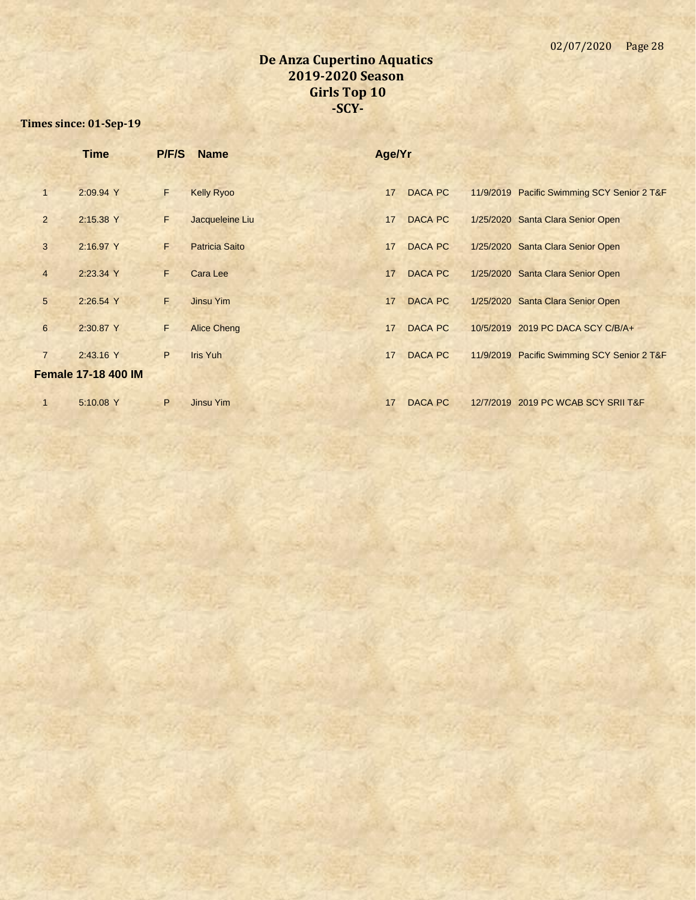|                | <b>Time</b>                | P/F/S | <b>Name</b>           | Age/Yr |                |                                             |
|----------------|----------------------------|-------|-----------------------|--------|----------------|---------------------------------------------|
| 1              | 2:09.94 Y                  | F     | <b>Kelly Ryoo</b>     | 17     | <b>DACA PC</b> | 11/9/2019 Pacific Swimming SCY Senior 2 T&F |
| $\overline{2}$ | 2:15.38 Y                  | F.    | Jacqueleine Liu       | 17     | <b>DACA PC</b> | 1/25/2020 Santa Clara Senior Open           |
| 3              | 2:16.97 Y                  | F.    | <b>Patricia Saito</b> | 17     | <b>DACA PC</b> | 1/25/2020 Santa Clara Senior Open           |
| $\overline{4}$ | 2:23.34 Y                  | F.    | Cara Lee              | 17     | <b>DACA PC</b> | 1/25/2020 Santa Clara Senior Open           |
| 5              | 2:26.54 Y                  | F.    | Jinsu Yim             | 17     | <b>DACA PC</b> | 1/25/2020 Santa Clara Senior Open           |
| 6              | 2:30.87 Y                  | F.    | <b>Alice Cheng</b>    | 17     | <b>DACA PC</b> | 10/5/2019 2019 PC DACA SCY C/B/A+           |
| $\overline{7}$ | 2:43.16 Y                  | P.    | <b>Iris Yuh</b>       | 17     | <b>DACA PC</b> | 11/9/2019 Pacific Swimming SCY Senior 2 T&F |
|                | <b>Female 17-18 400 IM</b> |       |                       |        |                |                                             |
| $\mathbf{1}$   | 5:10.08 Y                  | P     | Jinsu Yim             | 17     | <b>DACA PC</b> | 12/7/2019 2019 PC WCAB SCY SRII T&F         |